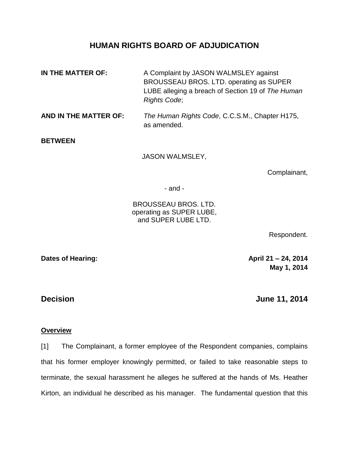# **HUMAN RIGHTS BOARD OF ADJUDICATION**

- **IN THE MATTER OF:** A Complaint by JASON WALMSLEY against BROUSSEAU BROS. LTD. operating as SUPER LUBE alleging a breach of Section 19 of *The Human Rights Code*;
- **AND IN THE MATTER OF:** *The Human Rights Code*, C.C.S.M., Chapter H175, as amended.

**BETWEEN**

JASON WALMSLEY,

Complainant,

- and -

BROUSSEAU BROS. LTD. operating as SUPER LUBE, and SUPER LUBE LTD.

Respondent.

**Dates of Hearing: April 21 – 24, 2014 May 1, 2014**

**Decision June 11, 2014**

## **Overview**

[1] The Complainant, a former employee of the Respondent companies, complains that his former employer knowingly permitted, or failed to take reasonable steps to terminate, the sexual harassment he alleges he suffered at the hands of Ms. Heather Kirton, an individual he described as his manager. The fundamental question that this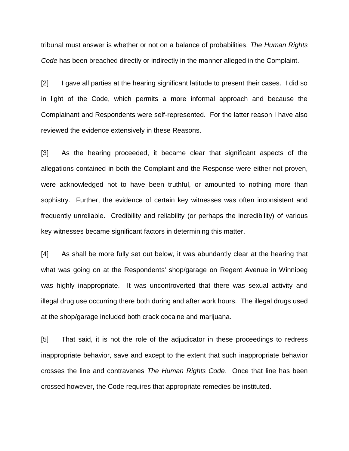tribunal must answer is whether or not on a balance of probabilities, *The Human Rights Code* has been breached directly or indirectly in the manner alleged in the Complaint.

[2] I gave all parties at the hearing significant latitude to present their cases. I did so in light of the Code, which permits a more informal approach and because the Complainant and Respondents were self-represented. For the latter reason I have also reviewed the evidence extensively in these Reasons.

[3] As the hearing proceeded, it became clear that significant aspects of the allegations contained in both the Complaint and the Response were either not proven, were acknowledged not to have been truthful, or amounted to nothing more than sophistry. Further, the evidence of certain key witnesses was often inconsistent and frequently unreliable. Credibility and reliability (or perhaps the incredibility) of various key witnesses became significant factors in determining this matter.

[4] As shall be more fully set out below, it was abundantly clear at the hearing that what was going on at the Respondents' shop/garage on Regent Avenue in Winnipeg was highly inappropriate. It was uncontroverted that there was sexual activity and illegal drug use occurring there both during and after work hours. The illegal drugs used at the shop/garage included both crack cocaine and marijuana.

[5] That said, it is not the role of the adjudicator in these proceedings to redress inappropriate behavior, save and except to the extent that such inappropriate behavior crosses the line and contravenes *The Human Rights Code*. Once that line has been crossed however, the Code requires that appropriate remedies be instituted.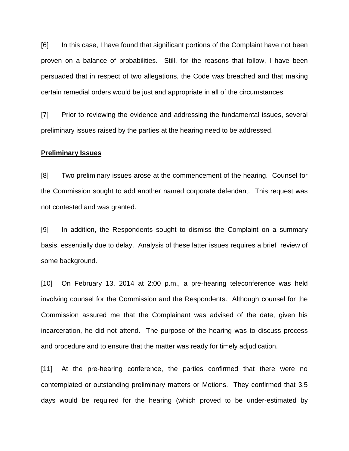[6] In this case, I have found that significant portions of the Complaint have not been proven on a balance of probabilities. Still, for the reasons that follow, I have been persuaded that in respect of two allegations, the Code was breached and that making certain remedial orders would be just and appropriate in all of the circumstances.

[7] Prior to reviewing the evidence and addressing the fundamental issues, several preliminary issues raised by the parties at the hearing need to be addressed.

### **Preliminary Issues**

[8] Two preliminary issues arose at the commencement of the hearing. Counsel for the Commission sought to add another named corporate defendant. This request was not contested and was granted.

[9] In addition, the Respondents sought to dismiss the Complaint on a summary basis, essentially due to delay. Analysis of these latter issues requires a brief review of some background.

[10] On February 13, 2014 at 2:00 p.m., a pre-hearing teleconference was held involving counsel for the Commission and the Respondents. Although counsel for the Commission assured me that the Complainant was advised of the date, given his incarceration, he did not attend. The purpose of the hearing was to discuss process and procedure and to ensure that the matter was ready for timely adjudication.

[11] At the pre-hearing conference, the parties confirmed that there were no contemplated or outstanding preliminary matters or Motions. They confirmed that 3.5 days would be required for the hearing (which proved to be under-estimated by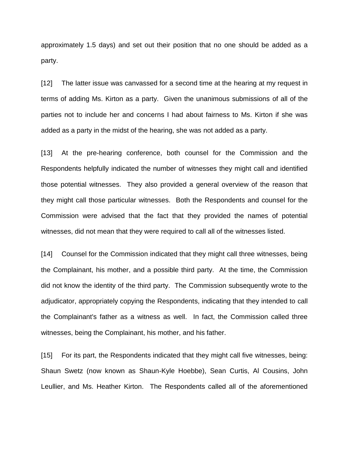approximately 1.5 days) and set out their position that no one should be added as a party.

[12] The latter issue was canvassed for a second time at the hearing at my request in terms of adding Ms. Kirton as a party. Given the unanimous submissions of all of the parties not to include her and concerns I had about fairness to Ms. Kirton if she was added as a party in the midst of the hearing, she was not added as a party.

[13] At the pre-hearing conference, both counsel for the Commission and the Respondents helpfully indicated the number of witnesses they might call and identified those potential witnesses. They also provided a general overview of the reason that they might call those particular witnesses. Both the Respondents and counsel for the Commission were advised that the fact that they provided the names of potential witnesses, did not mean that they were required to call all of the witnesses listed.

[14] Counsel for the Commission indicated that they might call three witnesses, being the Complainant, his mother, and a possible third party. At the time, the Commission did not know the identity of the third party. The Commission subsequently wrote to the adjudicator, appropriately copying the Respondents, indicating that they intended to call the Complainant's father as a witness as well. In fact, the Commission called three witnesses, being the Complainant, his mother, and his father.

[15] For its part, the Respondents indicated that they might call five witnesses, being: Shaun Swetz (now known as Shaun-Kyle Hoebbe), Sean Curtis, Al Cousins, John Leullier, and Ms. Heather Kirton. The Respondents called all of the aforementioned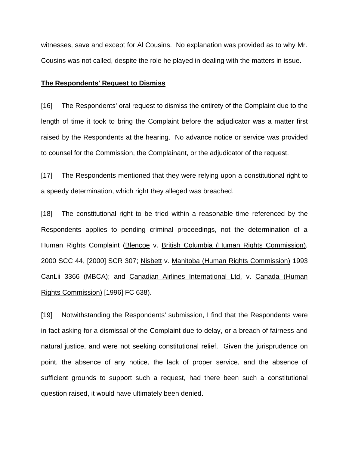witnesses, save and except for Al Cousins. No explanation was provided as to why Mr. Cousins was not called, despite the role he played in dealing with the matters in issue.

#### **The Respondents' Request to Dismiss**

[16] The Respondents' oral request to dismiss the entirety of the Complaint due to the length of time it took to bring the Complaint before the adjudicator was a matter first raised by the Respondents at the hearing. No advance notice or service was provided to counsel for the Commission, the Complainant, or the adjudicator of the request.

[17] The Respondents mentioned that they were relying upon a constitutional right to a speedy determination, which right they alleged was breached.

[18] The constitutional right to be tried within a reasonable time referenced by the Respondents applies to pending criminal proceedings, not the determination of a Human Rights Complaint (Blencoe v. British Columbia (Human Rights Commission), 2000 SCC 44, [2000] SCR 307; Nisbett v. Manitoba (Human Rights Commission) 1993 CanLii 3366 (MBCA); and Canadian Airlines International Ltd. v. Canada (Human Rights Commission) [1996] FC 638).

[19] Notwithstanding the Respondents' submission, I find that the Respondents were in fact asking for a dismissal of the Complaint due to delay, or a breach of fairness and natural justice, and were not seeking constitutional relief. Given the jurisprudence on point, the absence of any notice, the lack of proper service, and the absence of sufficient grounds to support such a request, had there been such a constitutional question raised, it would have ultimately been denied.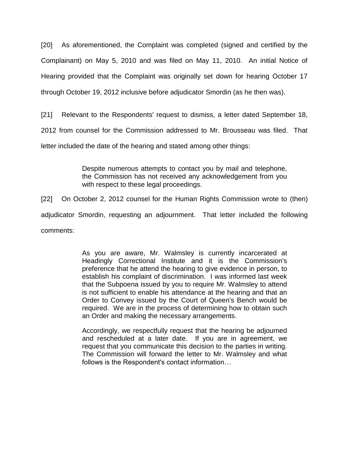[20] As aforementioned, the Complaint was completed (signed and certified by the Complainant) on May 5, 2010 and was filed on May 11, 2010. An initial Notice of Hearing provided that the Complaint was originally set down for hearing October 17 through October 19, 2012 inclusive before adjudicator Smordin (as he then was).

[21] Relevant to the Respondents' request to dismiss, a letter dated September 18,

2012 from counsel for the Commission addressed to Mr. Brousseau was filed. That

letter included the date of the hearing and stated among other things:

Despite numerous attempts to contact you by mail and telephone, the Commission has not received any acknowledgement from you with respect to these legal proceedings.

[22] On October 2, 2012 counsel for the Human Rights Commission wrote to (then)

adjudicator Smordin, requesting an adjournment. That letter included the following

comments:

As you are aware, Mr. Walmsley is currently incarcerated at Headingly Correctional Institute and it is the Commission's preference that he attend the hearing to give evidence in person, to establish his complaint of discrimination. I was informed last week that the Subpoena issued by you to require Mr. Walmsley to attend is not sufficient to enable his attendance at the hearing and that an Order to Convey issued by the Court of Queen's Bench would be required. We are in the process of determining how to obtain such an Order and making the necessary arrangements.

Accordingly, we respectfully request that the hearing be adjourned and rescheduled at a later date. If you are in agreement, we request that you communicate this decision to the parties in writing. The Commission will forward the letter to Mr. Walmsley and what follows is the Respondent's contact information…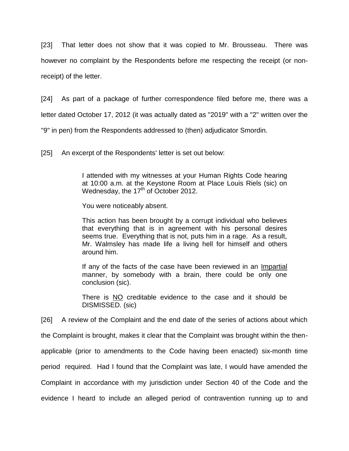[23] That letter does not show that it was copied to Mr. Brousseau. There was however no complaint by the Respondents before me respecting the receipt (or nonreceipt) of the letter.

[24] As part of a package of further correspondence filed before me, there was a letter dated October 17, 2012 (it was actually dated as "2019" with a "2" written over the "9" in pen) from the Respondents addressed to (then) adjudicator Smordin.

[25] An excerpt of the Respondents' letter is set out below:

I attended with my witnesses at your Human Rights Code hearing at 10:00 a.m. at the Keystone Room at Place Louis Riels (sic) on Wednesday, the  $17<sup>th</sup>$  of October 2012.

You were noticeably absent.

This action has been brought by a corrupt individual who believes that everything that is in agreement with his personal desires seems true. Everything that is not, puts him in a rage. As a result, Mr. Walmsley has made life a living hell for himself and others around him.

If any of the facts of the case have been reviewed in an Impartial manner, by somebody with a brain, there could be only one conclusion (sic).

There is NO creditable evidence to the case and it should be DISMISSED. (sic)

[26] A review of the Complaint and the end date of the series of actions about which

the Complaint is brought, makes it clear that the Complaint was brought within the then-

applicable (prior to amendments to the Code having been enacted) six-month time

period required. Had I found that the Complaint was late, I would have amended the

Complaint in accordance with my jurisdiction under Section 40 of the Code and the

evidence I heard to include an alleged period of contravention running up to and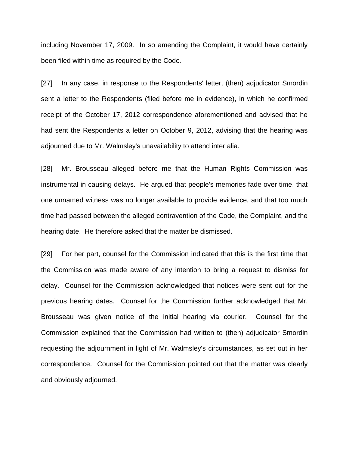including November 17, 2009. In so amending the Complaint, it would have certainly been filed within time as required by the Code.

[27] In any case, in response to the Respondents' letter, (then) adjudicator Smordin sent a letter to the Respondents (filed before me in evidence), in which he confirmed receipt of the October 17, 2012 correspondence aforementioned and advised that he had sent the Respondents a letter on October 9, 2012, advising that the hearing was adjourned due to Mr. Walmsley's unavailability to attend inter alia.

[28] Mr. Brousseau alleged before me that the Human Rights Commission was instrumental in causing delays. He argued that people's memories fade over time, that one unnamed witness was no longer available to provide evidence, and that too much time had passed between the alleged contravention of the Code, the Complaint, and the hearing date. He therefore asked that the matter be dismissed.

[29] For her part, counsel for the Commission indicated that this is the first time that the Commission was made aware of any intention to bring a request to dismiss for delay. Counsel for the Commission acknowledged that notices were sent out for the previous hearing dates. Counsel for the Commission further acknowledged that Mr. Brousseau was given notice of the initial hearing via courier. Counsel for the Commission explained that the Commission had written to (then) adjudicator Smordin requesting the adjournment in light of Mr. Walmsley's circumstances, as set out in her correspondence. Counsel for the Commission pointed out that the matter was clearly and obviously adjourned.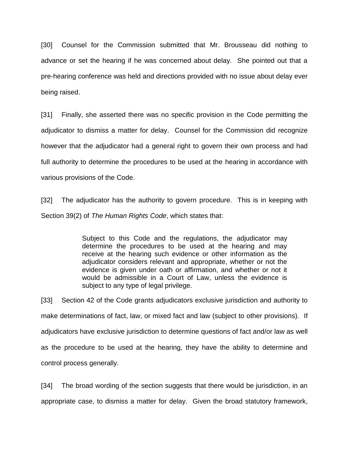[30] Counsel for the Commission submitted that Mr. Brousseau did nothing to advance or set the hearing if he was concerned about delay. She pointed out that a pre-hearing conference was held and directions provided with no issue about delay ever being raised.

[31] Finally, she asserted there was no specific provision in the Code permitting the adjudicator to dismiss a matter for delay. Counsel for the Commission did recognize however that the adjudicator had a general right to govern their own process and had full authority to determine the procedures to be used at the hearing in accordance with various provisions of the Code.

[32] The adjudicator has the authority to govern procedure. This is in keeping with Section 39(2) of *The Human Rights Code*, which states that:

> Subject to this Code and the regulations, the adjudicator may determine the procedures to be used at the hearing and may receive at the hearing such evidence or other information as the adjudicator considers relevant and appropriate, whether or not the evidence is given under oath or affirmation, and whether or not it would be admissible in a Court of Law, unless the evidence is subject to any type of legal privilege.

[33] Section 42 of the Code grants adjudicators exclusive jurisdiction and authority to make determinations of fact, law, or mixed fact and law (subject to other provisions). If adjudicators have exclusive jurisdiction to determine questions of fact and/or law as well as the procedure to be used at the hearing, they have the ability to determine and control process generally.

[34] The broad wording of the section suggests that there would be jurisdiction, in an appropriate case, to dismiss a matter for delay. Given the broad statutory framework,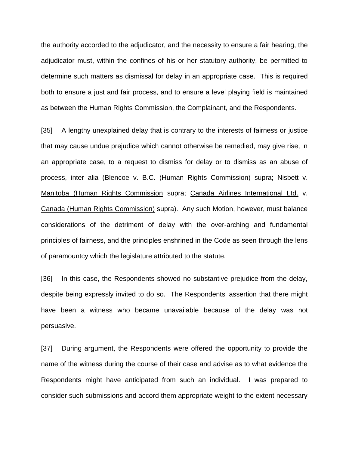the authority accorded to the adjudicator, and the necessity to ensure a fair hearing, the adjudicator must, within the confines of his or her statutory authority, be permitted to determine such matters as dismissal for delay in an appropriate case. This is required both to ensure a just and fair process, and to ensure a level playing field is maintained as between the Human Rights Commission, the Complainant, and the Respondents.

[35] A lengthy unexplained delay that is contrary to the interests of fairness or justice that may cause undue prejudice which cannot otherwise be remedied, may give rise, in an appropriate case, to a request to dismiss for delay or to dismiss as an abuse of process, inter alia (Blencoe v. B.C. (Human Rights Commission) supra; Nisbett v. Manitoba (Human Rights Commission supra; Canada Airlines International Ltd. v. Canada (Human Rights Commission) supra). Any such Motion, however, must balance considerations of the detriment of delay with the over-arching and fundamental principles of fairness, and the principles enshrined in the Code as seen through the lens of paramountcy which the legislature attributed to the statute.

[36] In this case, the Respondents showed no substantive prejudice from the delay, despite being expressly invited to do so. The Respondents' assertion that there might have been a witness who became unavailable because of the delay was not persuasive.

[37] During argument, the Respondents were offered the opportunity to provide the name of the witness during the course of their case and advise as to what evidence the Respondents might have anticipated from such an individual. I was prepared to consider such submissions and accord them appropriate weight to the extent necessary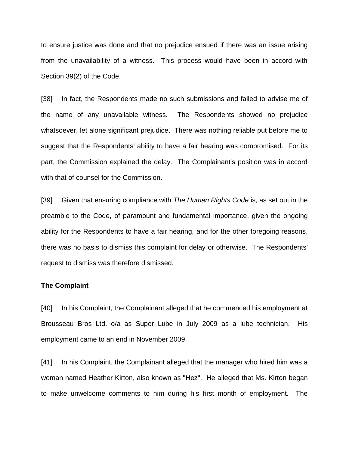to ensure justice was done and that no prejudice ensued if there was an issue arising from the unavailability of a witness. This process would have been in accord with Section 39(2) of the Code.

[38] In fact, the Respondents made no such submissions and failed to advise me of the name of any unavailable witness. The Respondents showed no prejudice whatsoever, let alone significant prejudice. There was nothing reliable put before me to suggest that the Respondents' ability to have a fair hearing was compromised. For its part, the Commission explained the delay. The Complainant's position was in accord with that of counsel for the Commission.

[39] Given that ensuring compliance with *The Human Rights Code* is, as set out in the preamble to the Code, of paramount and fundamental importance, given the ongoing ability for the Respondents to have a fair hearing, and for the other foregoing reasons, there was no basis to dismiss this complaint for delay or otherwise. The Respondents' request to dismiss was therefore dismissed.

#### **The Complaint**

[40] In his Complaint, the Complainant alleged that he commenced his employment at Brousseau Bros Ltd. o/a as Super Lube in July 2009 as a lube technician. His employment came to an end in November 2009.

[41] In his Complaint, the Complainant alleged that the manager who hired him was a woman named Heather Kirton, also known as "Hez". He alleged that Ms. Kirton began to make unwelcome comments to him during his first month of employment. The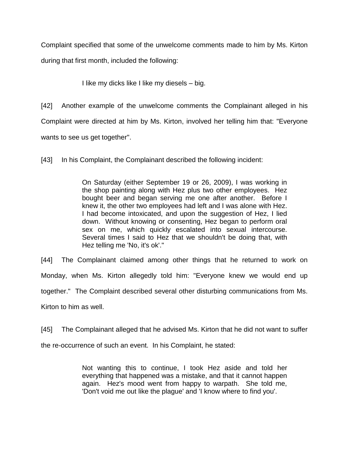Complaint specified that some of the unwelcome comments made to him by Ms. Kirton

during that first month, included the following:

I like my dicks like I like my diesels – big.

[42] Another example of the unwelcome comments the Complainant alleged in his Complaint were directed at him by Ms. Kirton, involved her telling him that: "Everyone wants to see us get together".

[43] In his Complaint, the Complainant described the following incident:

On Saturday (either September 19 or 26, 2009), I was working in the shop painting along with Hez plus two other employees. Hez bought beer and began serving me one after another. Before I knew it, the other two employees had left and I was alone with Hez. I had become intoxicated, and upon the suggestion of Hez, I lied down. Without knowing or consenting, Hez began to perform oral sex on me, which quickly escalated into sexual intercourse. Several times I said to Hez that we shouldn't be doing that, with Hez telling me 'No, it's ok'."

[44] The Complainant claimed among other things that he returned to work on Monday, when Ms. Kirton allegedly told him: "Everyone knew we would end up together."The Complaint described several other disturbing communications from Ms. Kirton to him as well.

[45] The Complainant alleged that he advised Ms. Kirton that he did not want to suffer the re-occurrence of such an event. In his Complaint, he stated:

> Not wanting this to continue, I took Hez aside and told her everything that happened was a mistake, and that it cannot happen again. Hez's mood went from happy to warpath. She told me, 'Don't void me out like the plague' and 'I know where to find you'.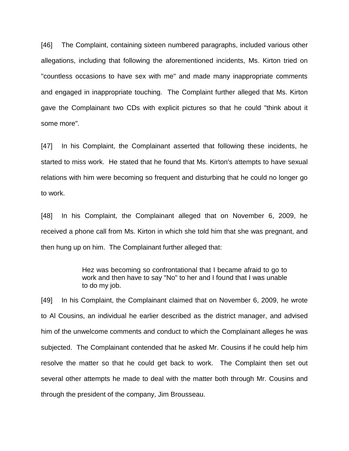[46] The Complaint, containing sixteen numbered paragraphs, included various other allegations, including that following the aforementioned incidents, Ms. Kirton tried on "countless occasions to have sex with me" and made many inappropriate comments and engaged in inappropriate touching. The Complaint further alleged that Ms. Kirton gave the Complainant two CDs with explicit pictures so that he could "think about it some more".

[47] In his Complaint, the Complainant asserted that following these incidents, he started to miss work. He stated that he found that Ms. Kirton's attempts to have sexual relations with him were becoming so frequent and disturbing that he could no longer go to work.

[48] In his Complaint, the Complainant alleged that on November 6, 2009, he received a phone call from Ms. Kirton in which she told him that she was pregnant, and then hung up on him. The Complainant further alleged that:

> Hez was becoming so confrontational that I became afraid to go to work and then have to say "No" to her and I found that I was unable to do my job.

[49] In his Complaint, the Complainant claimed that on November 6, 2009, he wrote to Al Cousins, an individual he earlier described as the district manager, and advised him of the unwelcome comments and conduct to which the Complainant alleges he was subjected. The Complainant contended that he asked Mr. Cousins if he could help him resolve the matter so that he could get back to work. The Complaint then set out several other attempts he made to deal with the matter both through Mr. Cousins and through the president of the company, Jim Brousseau.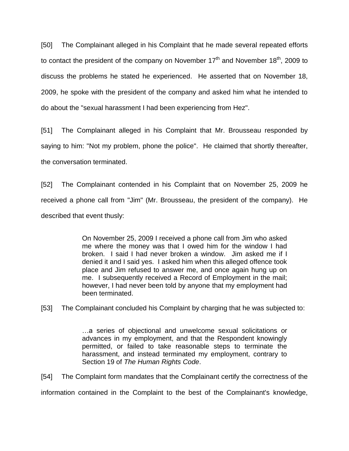[50] The Complainant alleged in his Complaint that he made several repeated efforts to contact the president of the company on November  $17<sup>th</sup>$  and November  $18<sup>th</sup>$ , 2009 to discuss the problems he stated he experienced. He asserted that on November 18, 2009, he spoke with the president of the company and asked him what he intended to do about the "sexual harassment I had been experiencing from Hez".

[51] The Complainant alleged in his Complaint that Mr. Brousseau responded by saying to him: "Not my problem, phone the police". He claimed that shortly thereafter, the conversation terminated.

[52] The Complainant contended in his Complaint that on November 25, 2009 he received a phone call from "Jim" (Mr. Brousseau, the president of the company). He described that event thusly:

> On November 25, 2009 I received a phone call from Jim who asked me where the money was that I owed him for the window I had broken. I said I had never broken a window. Jim asked me if I denied it and I said yes. I asked him when this alleged offence took place and Jim refused to answer me, and once again hung up on me. I subsequently received a Record of Employment in the mail; however, I had never been told by anyone that my employment had been terminated.

[53] The Complainant concluded his Complaint by charging that he was subjected to:

…a series of objectional and unwelcome sexual solicitations or advances in my employment, and that the Respondent knowingly permitted, or failed to take reasonable steps to terminate the harassment, and instead terminated my employment, contrary to Section 19 of *The Human Rights Code*.

[54] The Complaint form mandates that the Complainant certify the correctness of the information contained in the Complaint to the best of the Complainant's knowledge,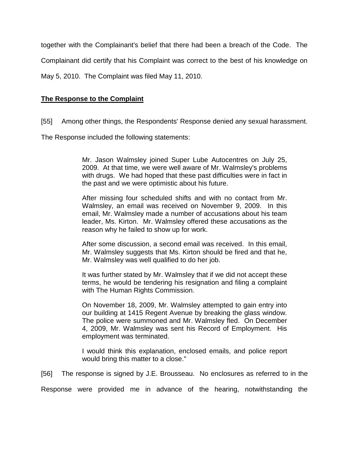together with the Complainant's belief that there had been a breach of the Code. The

Complainant did certify that his Complaint was correct to the best of his knowledge on

May 5, 2010. The Complaint was filed May 11, 2010.

## **The Response to the Complaint**

[55] Among other things, the Respondents' Response denied any sexual harassment.

The Response included the following statements:

Mr. Jason Walmsley joined Super Lube Autocentres on July 25, 2009. At that time, we were well aware of Mr. Walmsley's problems with drugs. We had hoped that these past difficulties were in fact in the past and we were optimistic about his future.

After missing four scheduled shifts and with no contact from Mr. Walmsley, an email was received on November 9, 2009. In this email, Mr. Walmsley made a number of accusations about his team leader, Ms. Kirton. Mr. Walmsley offered these accusations as the reason why he failed to show up for work.

After some discussion, a second email was received. In this email, Mr. Walmsley suggests that Ms. Kirton should be fired and that he, Mr. Walmsley was well qualified to do her job.

It was further stated by Mr. Walmsley that if we did not accept these terms, he would be tendering his resignation and filing a complaint with The Human Rights Commission.

On November 18, 2009, Mr. Walmsley attempted to gain entry into our building at 1415 Regent Avenue by breaking the glass window. The police were summoned and Mr. Walmsley fled. On December 4, 2009, Mr. Walmsley was sent his Record of Employment. His employment was terminated.

I would think this explanation, enclosed emails, and police report would bring this matter to a close."

[56] The response is signed by J.E. Brousseau. No enclosures as referred to in the

Response were provided me in advance of the hearing, notwithstanding the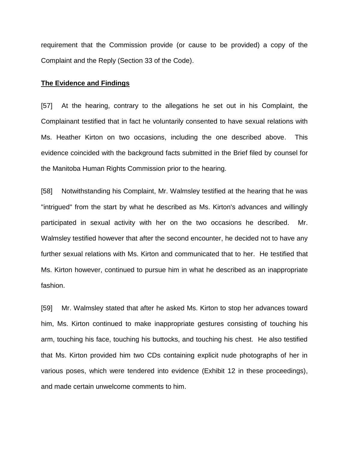requirement that the Commission provide (or cause to be provided) a copy of the Complaint and the Reply (Section 33 of the Code).

#### **The Evidence and Findings**

[57] At the hearing, contrary to the allegations he set out in his Complaint, the Complainant testified that in fact he voluntarily consented to have sexual relations with Ms. Heather Kirton on two occasions, including the one described above. This evidence coincided with the background facts submitted in the Brief filed by counsel for the Manitoba Human Rights Commission prior to the hearing.

[58] Notwithstanding his Complaint, Mr. Walmsley testified at the hearing that he was "intrigued" from the start by what he described as Ms. Kirton's advances and willingly participated in sexual activity with her on the two occasions he described. Mr. Walmsley testified however that after the second encounter, he decided not to have any further sexual relations with Ms. Kirton and communicated that to her. He testified that Ms. Kirton however, continued to pursue him in what he described as an inappropriate fashion.

[59] Mr. Walmsley stated that after he asked Ms. Kirton to stop her advances toward him, Ms. Kirton continued to make inappropriate gestures consisting of touching his arm, touching his face, touching his buttocks, and touching his chest. He also testified that Ms. Kirton provided him two CDs containing explicit nude photographs of her in various poses, which were tendered into evidence (Exhibit 12 in these proceedings), and made certain unwelcome comments to him.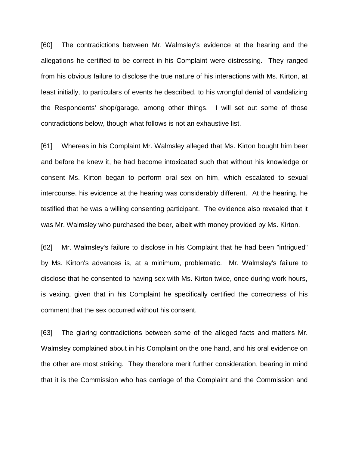[60] The contradictions between Mr. Walmsley's evidence at the hearing and the allegations he certified to be correct in his Complaint were distressing. They ranged from his obvious failure to disclose the true nature of his interactions with Ms. Kirton, at least initially, to particulars of events he described, to his wrongful denial of vandalizing the Respondents' shop/garage, among other things. I will set out some of those contradictions below, though what follows is not an exhaustive list.

[61] Whereas in his Complaint Mr. Walmsley alleged that Ms. Kirton bought him beer and before he knew it, he had become intoxicated such that without his knowledge or consent Ms. Kirton began to perform oral sex on him, which escalated to sexual intercourse, his evidence at the hearing was considerably different. At the hearing, he testified that he was a willing consenting participant. The evidence also revealed that it was Mr. Walmsley who purchased the beer, albeit with money provided by Ms. Kirton.

[62] Mr. Walmsley's failure to disclose in his Complaint that he had been "intrigued" by Ms. Kirton's advances is, at a minimum, problematic. Mr. Walmsley's failure to disclose that he consented to having sex with Ms. Kirton twice, once during work hours, is vexing, given that in his Complaint he specifically certified the correctness of his comment that the sex occurred without his consent.

[63] The glaring contradictions between some of the alleged facts and matters Mr. Walmsley complained about in his Complaint on the one hand, and his oral evidence on the other are most striking. They therefore merit further consideration, bearing in mind that it is the Commission who has carriage of the Complaint and the Commission and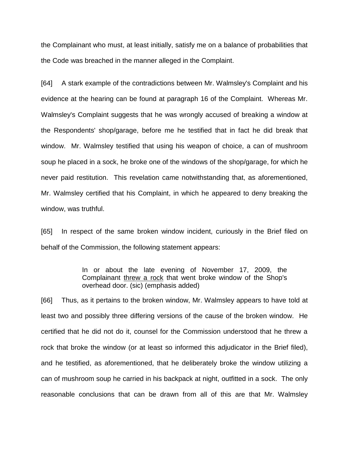the Complainant who must, at least initially, satisfy me on a balance of probabilities that the Code was breached in the manner alleged in the Complaint.

[64] A stark example of the contradictions between Mr. Walmsley's Complaint and his evidence at the hearing can be found at paragraph 16 of the Complaint. Whereas Mr. Walmsley's Complaint suggests that he was wrongly accused of breaking a window at the Respondents' shop/garage, before me he testified that in fact he did break that window. Mr. Walmsley testified that using his weapon of choice, a can of mushroom soup he placed in a sock, he broke one of the windows of the shop/garage, for which he never paid restitution. This revelation came notwithstanding that, as aforementioned, Mr. Walmsley certified that his Complaint, in which he appeared to deny breaking the window, was truthful.

[65] In respect of the same broken window incident, curiously in the Brief filed on behalf of the Commission, the following statement appears:

> In or about the late evening of November 17, 2009, the Complainant threw a rock that went broke window of the Shop's overhead door. (sic) (emphasis added)

[66] Thus, as it pertains to the broken window, Mr. Walmsley appears to have told at least two and possibly three differing versions of the cause of the broken window. He certified that he did not do it, counsel for the Commission understood that he threw a rock that broke the window (or at least so informed this adjudicator in the Brief filed), and he testified, as aforementioned, that he deliberately broke the window utilizing a can of mushroom soup he carried in his backpack at night, outfitted in a sock. The only reasonable conclusions that can be drawn from all of this are that Mr. Walmsley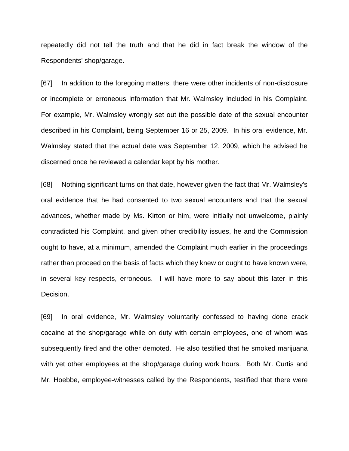repeatedly did not tell the truth and that he did in fact break the window of the Respondents' shop/garage.

[67] In addition to the foregoing matters, there were other incidents of non-disclosure or incomplete or erroneous information that Mr. Walmsley included in his Complaint. For example, Mr. Walmsley wrongly set out the possible date of the sexual encounter described in his Complaint, being September 16 or 25, 2009. In his oral evidence, Mr. Walmsley stated that the actual date was September 12, 2009, which he advised he discerned once he reviewed a calendar kept by his mother.

[68] Nothing significant turns on that date, however given the fact that Mr. Walmsley's oral evidence that he had consented to two sexual encounters and that the sexual advances, whether made by Ms. Kirton or him, were initially not unwelcome, plainly contradicted his Complaint, and given other credibility issues, he and the Commission ought to have, at a minimum, amended the Complaint much earlier in the proceedings rather than proceed on the basis of facts which they knew or ought to have known were, in several key respects, erroneous. I will have more to say about this later in this Decision.

[69] In oral evidence, Mr. Walmsley voluntarily confessed to having done crack cocaine at the shop/garage while on duty with certain employees, one of whom was subsequently fired and the other demoted. He also testified that he smoked marijuana with yet other employees at the shop/garage during work hours. Both Mr. Curtis and Mr. Hoebbe, employee-witnesses called by the Respondents, testified that there were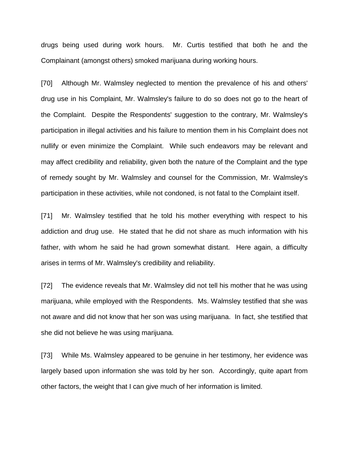drugs being used during work hours. Mr. Curtis testified that both he and the Complainant (amongst others) smoked marijuana during working hours.

[70] Although Mr. Walmsley neglected to mention the prevalence of his and others' drug use in his Complaint, Mr. Walmsley's failure to do so does not go to the heart of the Complaint. Despite the Respondents' suggestion to the contrary, Mr. Walmsley's participation in illegal activities and his failure to mention them in his Complaint does not nullify or even minimize the Complaint. While such endeavors may be relevant and may affect credibility and reliability, given both the nature of the Complaint and the type of remedy sought by Mr. Walmsley and counsel for the Commission, Mr. Walmsley's participation in these activities, while not condoned, is not fatal to the Complaint itself.

[71] Mr. Walmsley testified that he told his mother everything with respect to his addiction and drug use. He stated that he did not share as much information with his father, with whom he said he had grown somewhat distant. Here again, a difficulty arises in terms of Mr. Walmsley's credibility and reliability.

[72] The evidence reveals that Mr. Walmsley did not tell his mother that he was using marijuana, while employed with the Respondents. Ms. Walmsley testified that she was not aware and did not know that her son was using marijuana. In fact, she testified that she did not believe he was using marijuana.

[73] While Ms. Walmsley appeared to be genuine in her testimony, her evidence was largely based upon information she was told by her son. Accordingly, quite apart from other factors, the weight that I can give much of her information is limited.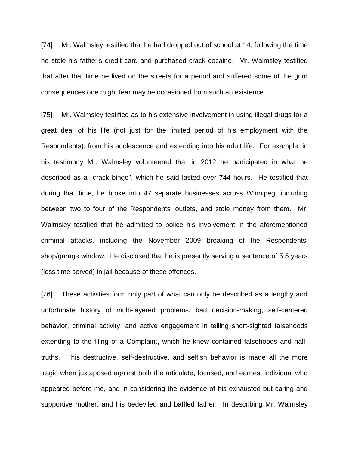[74] Mr. Walmsley testified that he had dropped out of school at 14, following the time he stole his father's credit card and purchased crack cocaine. Mr. Walmsley testified that after that time he lived on the streets for a period and suffered some of the grim consequences one might fear may be occasioned from such an existence.

[75] Mr. Walmsley testified as to his extensive involvement in using illegal drugs for a great deal of his life (not just for the limited period of his employment with the Respondents), from his adolescence and extending into his adult life. For example, in his testimony Mr. Walmsley volunteered that in 2012 he participated in what he described as a "crack binge", which he said lasted over 744 hours. He testified that during that time, he broke into 47 separate businesses across Winnipeg, including between two to four of the Respondents' outlets, and stole money from them. Mr. Walmsley testified that he admitted to police his involvement in the aforementioned criminal attacks, including the November 2009 breaking of the Respondents' shop/garage window. He disclosed that he is presently serving a sentence of 5.5 years (less time served) in jail because of these offences.

[76] These activities form only part of what can only be described as a lengthy and unfortunate history of multi-layered problems, bad decision-making, self-centered behavior, criminal activity, and active engagement in telling short-sighted falsehoods extending to the filing of a Complaint, which he knew contained falsehoods and halftruths. This destructive, self-destructive, and selfish behavior is made all the more tragic when juxtaposed against both the articulate, focused, and earnest individual who appeared before me, and in considering the evidence of his exhausted but caring and supportive mother, and his bedeviled and baffled father. In describing Mr. Walmsley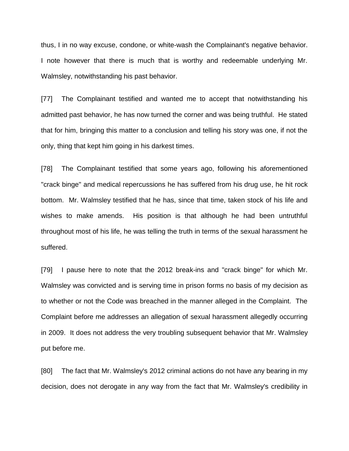thus, I in no way excuse, condone, or white-wash the Complainant's negative behavior. I note however that there is much that is worthy and redeemable underlying Mr. Walmsley, notwithstanding his past behavior.

[77] The Complainant testified and wanted me to accept that notwithstanding his admitted past behavior, he has now turned the corner and was being truthful. He stated that for him, bringing this matter to a conclusion and telling his story was one, if not the only, thing that kept him going in his darkest times.

[78] The Complainant testified that some years ago, following his aforementioned "crack binge" and medical repercussions he has suffered from his drug use, he hit rock bottom. Mr. Walmsley testified that he has, since that time, taken stock of his life and wishes to make amends. His position is that although he had been untruthful throughout most of his life, he was telling the truth in terms of the sexual harassment he suffered.

[79] I pause here to note that the 2012 break-ins and "crack binge" for which Mr. Walmsley was convicted and is serving time in prison forms no basis of my decision as to whether or not the Code was breached in the manner alleged in the Complaint. The Complaint before me addresses an allegation of sexual harassment allegedly occurring in 2009. It does not address the very troubling subsequent behavior that Mr. Walmsley put before me.

[80] The fact that Mr. Walmsley's 2012 criminal actions do not have any bearing in my decision, does not derogate in any way from the fact that Mr. Walmsley's credibility in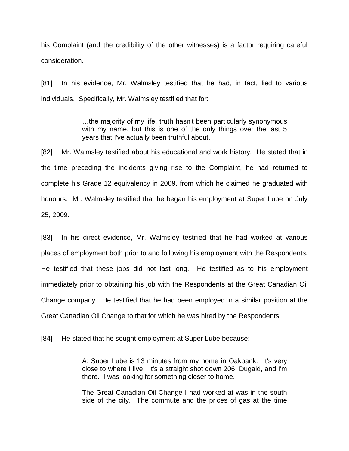his Complaint (and the credibility of the other witnesses) is a factor requiring careful consideration.

[81] In his evidence, Mr. Walmsley testified that he had, in fact, lied to various individuals. Specifically, Mr. Walmsley testified that for:

> …the majority of my life, truth hasn't been particularly synonymous with my name, but this is one of the only things over the last 5 years that I've actually been truthful about.

[82] Mr. Walmsley testified about his educational and work history. He stated that in the time preceding the incidents giving rise to the Complaint, he had returned to complete his Grade 12 equivalency in 2009, from which he claimed he graduated with honours. Mr. Walmsley testified that he began his employment at Super Lube on July 25, 2009.

[83] In his direct evidence, Mr. Walmsley testified that he had worked at various places of employment both prior to and following his employment with the Respondents. He testified that these jobs did not last long. He testified as to his employment immediately prior to obtaining his job with the Respondents at the Great Canadian Oil Change company. He testified that he had been employed in a similar position at the Great Canadian Oil Change to that for which he was hired by the Respondents.

[84] He stated that he sought employment at Super Lube because:

A: Super Lube is 13 minutes from my home in Oakbank. It's very close to where I live. It's a straight shot down 206, Dugald, and I'm there. I was looking for something closer to home.

The Great Canadian Oil Change I had worked at was in the south side of the city. The commute and the prices of gas at the time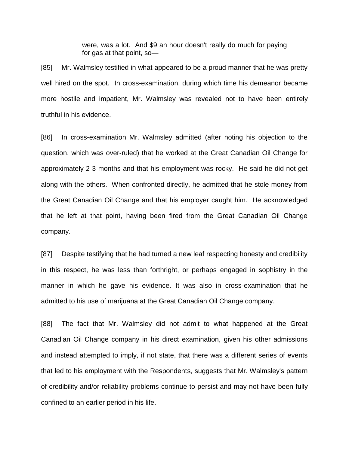were, was a lot. And \$9 an hour doesn't really do much for paying for gas at that point, so—

[85] Mr. Walmsley testified in what appeared to be a proud manner that he was pretty well hired on the spot. In cross-examination, during which time his demeanor became more hostile and impatient, Mr. Walmsley was revealed not to have been entirely truthful in his evidence.

[86] In cross-examination Mr. Walmsley admitted (after noting his objection to the question, which was over-ruled) that he worked at the Great Canadian Oil Change for approximately 2-3 months and that his employment was rocky. He said he did not get along with the others. When confronted directly, he admitted that he stole money from the Great Canadian Oil Change and that his employer caught him. He acknowledged that he left at that point, having been fired from the Great Canadian Oil Change company.

[87] Despite testifying that he had turned a new leaf respecting honesty and credibility in this respect, he was less than forthright, or perhaps engaged in sophistry in the manner in which he gave his evidence. It was also in cross-examination that he admitted to his use of marijuana at the Great Canadian Oil Change company.

[88] The fact that Mr. Walmsley did not admit to what happened at the Great Canadian Oil Change company in his direct examination, given his other admissions and instead attempted to imply, if not state, that there was a different series of events that led to his employment with the Respondents, suggests that Mr. Walmsley's pattern of credibility and/or reliability problems continue to persist and may not have been fully confined to an earlier period in his life.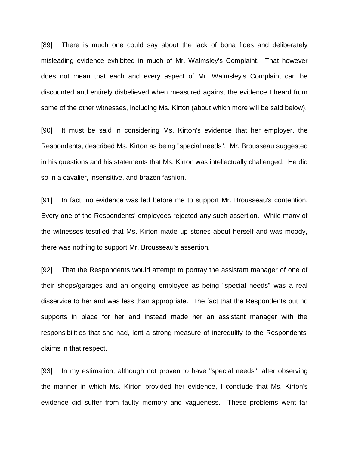[89] There is much one could say about the lack of bona fides and deliberately misleading evidence exhibited in much of Mr. Walmsley's Complaint. That however does not mean that each and every aspect of Mr. Walmsley's Complaint can be discounted and entirely disbelieved when measured against the evidence I heard from some of the other witnesses, including Ms. Kirton (about which more will be said below).

[90] It must be said in considering Ms. Kirton's evidence that her employer, the Respondents, described Ms. Kirton as being "special needs". Mr. Brousseau suggested in his questions and his statements that Ms. Kirton was intellectually challenged. He did so in a cavalier, insensitive, and brazen fashion.

[91] In fact, no evidence was led before me to support Mr. Brousseau's contention. Every one of the Respondents' employees rejected any such assertion. While many of the witnesses testified that Ms. Kirton made up stories about herself and was moody, there was nothing to support Mr. Brousseau's assertion.

[92] That the Respondents would attempt to portray the assistant manager of one of their shops/garages and an ongoing employee as being "special needs" was a real disservice to her and was less than appropriate. The fact that the Respondents put no supports in place for her and instead made her an assistant manager with the responsibilities that she had, lent a strong measure of incredulity to the Respondents' claims in that respect.

[93] In my estimation, although not proven to have "special needs", after observing the manner in which Ms. Kirton provided her evidence, I conclude that Ms. Kirton's evidence did suffer from faulty memory and vagueness. These problems went far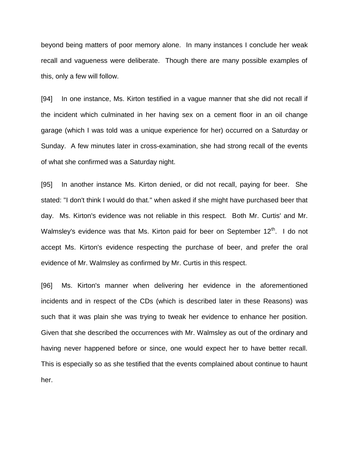beyond being matters of poor memory alone. In many instances I conclude her weak recall and vagueness were deliberate. Though there are many possible examples of this, only a few will follow.

[94] In one instance, Ms. Kirton testified in a vague manner that she did not recall if the incident which culminated in her having sex on a cement floor in an oil change garage (which I was told was a unique experience for her) occurred on a Saturday or Sunday. A few minutes later in cross-examination, she had strong recall of the events of what she confirmed was a Saturday night.

[95] In another instance Ms. Kirton denied, or did not recall, paying for beer. She stated: "I don't think I would do that." when asked if she might have purchased beer that day. Ms. Kirton's evidence was not reliable in this respect. Both Mr. Curtis' and Mr. Walmsley's evidence was that Ms. Kirton paid for beer on September 12<sup>th</sup>. I do not accept Ms. Kirton's evidence respecting the purchase of beer, and prefer the oral evidence of Mr. Walmsley as confirmed by Mr. Curtis in this respect.

[96] Ms. Kirton's manner when delivering her evidence in the aforementioned incidents and in respect of the CDs (which is described later in these Reasons) was such that it was plain she was trying to tweak her evidence to enhance her position. Given that she described the occurrences with Mr. Walmsley as out of the ordinary and having never happened before or since, one would expect her to have better recall. This is especially so as she testified that the events complained about continue to haunt her.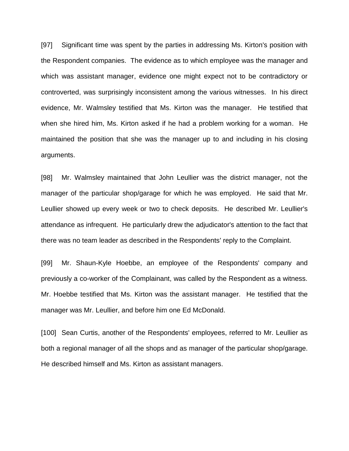[97] Significant time was spent by the parties in addressing Ms. Kirton's position with the Respondent companies. The evidence as to which employee was the manager and which was assistant manager, evidence one might expect not to be contradictory or controverted, was surprisingly inconsistent among the various witnesses. In his direct evidence, Mr. Walmsley testified that Ms. Kirton was the manager. He testified that when she hired him, Ms. Kirton asked if he had a problem working for a woman. He maintained the position that she was the manager up to and including in his closing arguments.

[98] Mr. Walmsley maintained that John Leullier was the district manager, not the manager of the particular shop/garage for which he was employed. He said that Mr. Leullier showed up every week or two to check deposits. He described Mr. Leullier's attendance as infrequent. He particularly drew the adjudicator's attention to the fact that there was no team leader as described in the Respondents' reply to the Complaint.

[99] Mr. Shaun-Kyle Hoebbe, an employee of the Respondents' company and previously a co-worker of the Complainant, was called by the Respondent as a witness. Mr. Hoebbe testified that Ms. Kirton was the assistant manager. He testified that the manager was Mr. Leullier, and before him one Ed McDonald.

[100] Sean Curtis, another of the Respondents' employees, referred to Mr. Leullier as both a regional manager of all the shops and as manager of the particular shop/garage. He described himself and Ms. Kirton as assistant managers.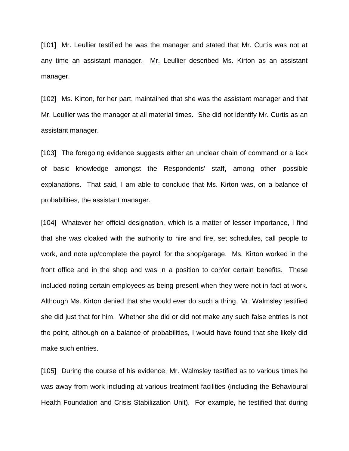[101] Mr. Leullier testified he was the manager and stated that Mr. Curtis was not at any time an assistant manager. Mr. Leullier described Ms. Kirton as an assistant manager.

[102] Ms. Kirton, for her part, maintained that she was the assistant manager and that Mr. Leullier was the manager at all material times. She did not identify Mr. Curtis as an assistant manager.

[103] The foregoing evidence suggests either an unclear chain of command or a lack of basic knowledge amongst the Respondents' staff, among other possible explanations. That said, I am able to conclude that Ms. Kirton was, on a balance of probabilities, the assistant manager.

[104] Whatever her official designation, which is a matter of lesser importance, I find that she was cloaked with the authority to hire and fire, set schedules, call people to work, and note up/complete the payroll for the shop/garage. Ms. Kirton worked in the front office and in the shop and was in a position to confer certain benefits. These included noting certain employees as being present when they were not in fact at work. Although Ms. Kirton denied that she would ever do such a thing, Mr. Walmsley testified she did just that for him. Whether she did or did not make any such false entries is not the point, although on a balance of probabilities, I would have found that she likely did make such entries.

[105] During the course of his evidence, Mr. Walmsley testified as to various times he was away from work including at various treatment facilities (including the Behavioural Health Foundation and Crisis Stabilization Unit). For example, he testified that during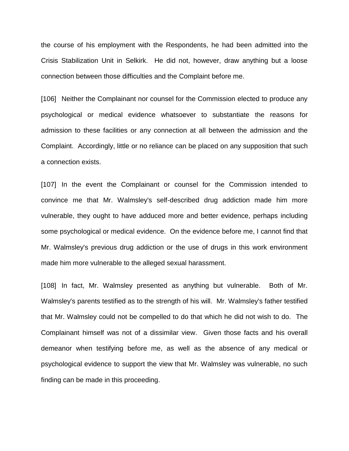the course of his employment with the Respondents, he had been admitted into the Crisis Stabilization Unit in Selkirk. He did not, however, draw anything but a loose connection between those difficulties and the Complaint before me.

[106] Neither the Complainant nor counsel for the Commission elected to produce any psychological or medical evidence whatsoever to substantiate the reasons for admission to these facilities or any connection at all between the admission and the Complaint. Accordingly, little or no reliance can be placed on any supposition that such a connection exists.

[107] In the event the Complainant or counsel for the Commission intended to convince me that Mr. Walmsley's self-described drug addiction made him more vulnerable, they ought to have adduced more and better evidence, perhaps including some psychological or medical evidence. On the evidence before me, I cannot find that Mr. Walmsley's previous drug addiction or the use of drugs in this work environment made him more vulnerable to the alleged sexual harassment.

[108] In fact, Mr. Walmsley presented as anything but vulnerable. Both of Mr. Walmsley's parents testified as to the strength of his will. Mr. Walmsley's father testified that Mr. Walmsley could not be compelled to do that which he did not wish to do. The Complainant himself was not of a dissimilar view. Given those facts and his overall demeanor when testifying before me, as well as the absence of any medical or psychological evidence to support the view that Mr. Walmsley was vulnerable, no such finding can be made in this proceeding.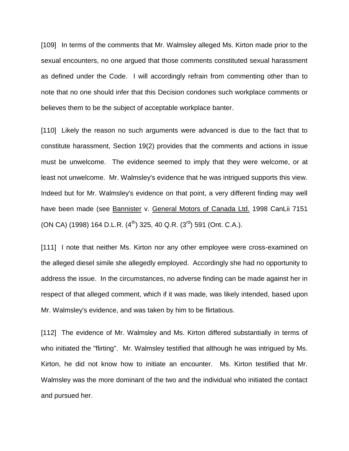[109] In terms of the comments that Mr. Walmsley alleged Ms. Kirton made prior to the sexual encounters, no one argued that those comments constituted sexual harassment as defined under the Code. I will accordingly refrain from commenting other than to note that no one should infer that this Decision condones such workplace comments or believes them to be the subject of acceptable workplace banter.

[110] Likely the reason no such arguments were advanced is due to the fact that to constitute harassment, Section 19(2) provides that the comments and actions in issue must be unwelcome. The evidence seemed to imply that they were welcome, or at least not unwelcome. Mr. Walmsley's evidence that he was intrigued supports this view. Indeed but for Mr. Walmsley's evidence on that point, a very different finding may well have been made (see Bannister v. General Motors of Canada Ltd. 1998 CanLii 7151 (ON CA) (1998) 164 D.L.R.  $(4^{th})$  325, 40 Q.R.  $(3^{rd})$  591 (Ont. C.A.).

[111] I note that neither Ms. Kirton nor any other employee were cross-examined on the alleged diesel simile she allegedly employed. Accordingly she had no opportunity to address the issue. In the circumstances, no adverse finding can be made against her in respect of that alleged comment, which if it was made, was likely intended, based upon Mr. Walmsley's evidence, and was taken by him to be flirtatious.

[112] The evidence of Mr. Walmsley and Ms. Kirton differed substantially in terms of who initiated the "flirting". Mr. Walmsley testified that although he was intrigued by Ms. Kirton, he did not know how to initiate an encounter. Ms. Kirton testified that Mr. Walmsley was the more dominant of the two and the individual who initiated the contact and pursued her.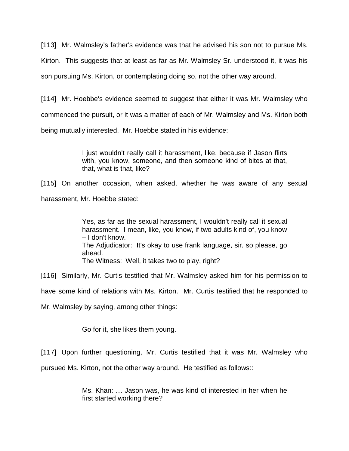[113] Mr. Walmsley's father's evidence was that he advised his son not to pursue Ms.

Kirton. This suggests that at least as far as Mr. Walmsley Sr. understood it, it was his

son pursuing Ms. Kirton, or contemplating doing so, not the other way around.

[114] Mr. Hoebbe's evidence seemed to suggest that either it was Mr. Walmsley who commenced the pursuit, or it was a matter of each of Mr. Walmsley and Ms. Kirton both being mutually interested. Mr. Hoebbe stated in his evidence:

> I just wouldn't really call it harassment, like, because if Jason flirts with, you know, someone, and then someone kind of bites at that, that, what is that, like?

[115] On another occasion, when asked, whether he was aware of any sexual harassment, Mr. Hoebbe stated:

> Yes, as far as the sexual harassment, I wouldn't really call it sexual harassment. I mean, like, you know, if two adults kind of, you know – I don't know. The Adjudicator: It's okay to use frank language, sir, so please, go ahead. The Witness: Well, it takes two to play, right?

[116] Similarly, Mr. Curtis testified that Mr. Walmsley asked him for his permission to

have some kind of relations with Ms. Kirton. Mr. Curtis testified that he responded to

Mr. Walmsley by saying, among other things:

Go for it, she likes them young.

[117] Upon further questioning, Mr. Curtis testified that it was Mr. Walmsley who

pursued Ms. Kirton, not the other way around. He testified as follows::

Ms. Khan: … Jason was, he was kind of interested in her when he first started working there?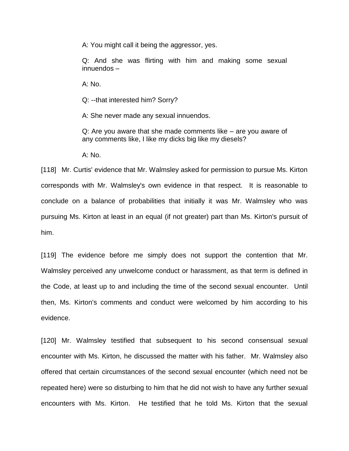A: You might call it being the aggressor, yes.

Q: And she was flirting with him and making some sexual innuendos –

A: No.

Q: --that interested him? Sorry?

A: She never made any sexual innuendos.

Q: Are you aware that she made comments like – are you aware of any comments like, I like my dicks big like my diesels?

 $A: N<sub>0</sub>$ 

[118] Mr. Curtis' evidence that Mr. Walmsley asked for permission to pursue Ms. Kirton corresponds with Mr. Walmsley's own evidence in that respect. It is reasonable to conclude on a balance of probabilities that initially it was Mr. Walmsley who was pursuing Ms. Kirton at least in an equal (if not greater) part than Ms. Kirton's pursuit of him.

[119] The evidence before me simply does not support the contention that Mr. Walmsley perceived any unwelcome conduct or harassment, as that term is defined in the Code, at least up to and including the time of the second sexual encounter. Until then, Ms. Kirton's comments and conduct were welcomed by him according to his evidence.

[120] Mr. Walmsley testified that subsequent to his second consensual sexual encounter with Ms. Kirton, he discussed the matter with his father. Mr. Walmsley also offered that certain circumstances of the second sexual encounter (which need not be repeated here) were so disturbing to him that he did not wish to have any further sexual encounters with Ms. Kirton. He testified that he told Ms. Kirton that the sexual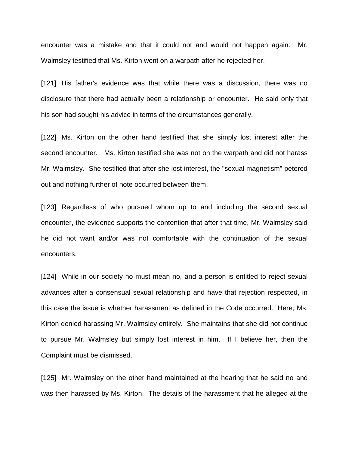encounter was a mistake and that it could not and would not happen again. Mr. Walmsley testified that Ms. Kirton went on a warpath after he rejected her.

[121] His father's evidence was that while there was a discussion, there was no disclosure that there had actually been a relationship or encounter. He said only that his son had sought his advice in terms of the circumstances generally.

[122] Ms. Kirton on the other hand testified that she simply lost interest after the second encounter. Ms. Kirton testified she was not on the warpath and did not harass Mr. Walmsley. She testified that after she lost interest, the "sexual magnetism" petered out and nothing further of note occurred between them.

[123] Regardless of who pursued whom up to and including the second sexual encounter, the evidence supports the contention that after that time, Mr. Walmsley said he did not want and/or was not comfortable with the continuation of the sexual encounters.

[124] While in our society no must mean no, and a person is entitled to reject sexual advances after a consensual sexual relationship and have that rejection respected, in this case the issue is whether harassment as defined in the Code occurred. Here, Ms. Kirton denied harassing Mr. Walmsley entirely. She maintains that she did not continue to pursue Mr. Walmsley but simply lost interest in him. If I believe her, then the Complaint must be dismissed.

[125] Mr. Walmsley on the other hand maintained at the hearing that he said no and was then harassed by Ms. Kirton. The details of the harassment that he alleged at the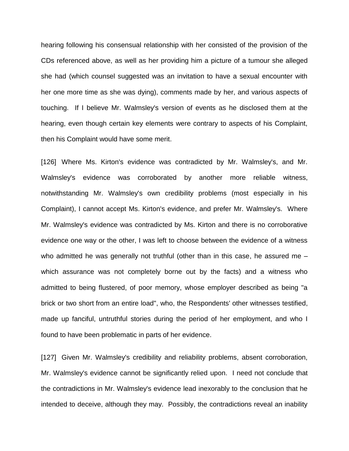hearing following his consensual relationship with her consisted of the provision of the CDs referenced above, as well as her providing him a picture of a tumour she alleged she had (which counsel suggested was an invitation to have a sexual encounter with her one more time as she was dying), comments made by her, and various aspects of touching. If I believe Mr. Walmsley's version of events as he disclosed them at the hearing, even though certain key elements were contrary to aspects of his Complaint, then his Complaint would have some merit.

[126] Where Ms. Kirton's evidence was contradicted by Mr. Walmsley's, and Mr. Walmsley's evidence was corroborated by another more reliable witness, notwithstanding Mr. Walmsley's own credibility problems (most especially in his Complaint), I cannot accept Ms. Kirton's evidence, and prefer Mr. Walmsley's. Where Mr. Walmsley's evidence was contradicted by Ms. Kirton and there is no corroborative evidence one way or the other, I was left to choose between the evidence of a witness who admitted he was generally not truthful (other than in this case, he assured me – which assurance was not completely borne out by the facts) and a witness who admitted to being flustered, of poor memory, whose employer described as being "a brick or two short from an entire load", who, the Respondents' other witnesses testified, made up fanciful, untruthful stories during the period of her employment, and who I found to have been problematic in parts of her evidence.

[127] Given Mr. Walmsley's credibility and reliability problems, absent corroboration, Mr. Walmsley's evidence cannot be significantly relied upon. I need not conclude that the contradictions in Mr. Walmsley's evidence lead inexorably to the conclusion that he intended to deceive, although they may. Possibly, the contradictions reveal an inability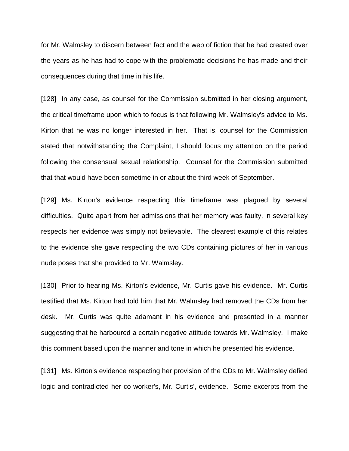for Mr. Walmsley to discern between fact and the web of fiction that he had created over the years as he has had to cope with the problematic decisions he has made and their consequences during that time in his life.

[128] In any case, as counsel for the Commission submitted in her closing argument, the critical timeframe upon which to focus is that following Mr. Walmsley's advice to Ms. Kirton that he was no longer interested in her. That is, counsel for the Commission stated that notwithstanding the Complaint, I should focus my attention on the period following the consensual sexual relationship. Counsel for the Commission submitted that that would have been sometime in or about the third week of September.

[129] Ms. Kirton's evidence respecting this timeframe was plagued by several difficulties. Quite apart from her admissions that her memory was faulty, in several key respects her evidence was simply not believable. The clearest example of this relates to the evidence she gave respecting the two CDs containing pictures of her in various nude poses that she provided to Mr. Walmsley.

[130] Prior to hearing Ms. Kirton's evidence, Mr. Curtis gave his evidence. Mr. Curtis testified that Ms. Kirton had told him that Mr. Walmsley had removed the CDs from her desk. Mr. Curtis was quite adamant in his evidence and presented in a manner suggesting that he harboured a certain negative attitude towards Mr. Walmsley. I make this comment based upon the manner and tone in which he presented his evidence.

[131] Ms. Kirton's evidence respecting her provision of the CDs to Mr. Walmsley defied logic and contradicted her co-worker's, Mr. Curtis', evidence. Some excerpts from the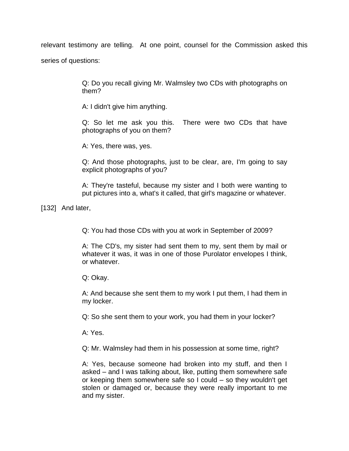relevant testimony are telling. At one point, counsel for the Commission asked this series of questions:

> Q: Do you recall giving Mr. Walmsley two CDs with photographs on them?

A: I didn't give him anything.

Q: So let me ask you this. There were two CDs that have photographs of you on them?

A: Yes, there was, yes.

Q: And those photographs, just to be clear, are, I'm going to say explicit photographs of you?

A: They're tasteful, because my sister and I both were wanting to put pictures into a, what's it called, that girl's magazine or whatever.

[132] And later,

Q: You had those CDs with you at work in September of 2009?

A: The CD's, my sister had sent them to my, sent them by mail or whatever it was, it was in one of those Purolator envelopes I think, or whatever.

Q: Okay.

A: And because she sent them to my work I put them, I had them in my locker.

Q: So she sent them to your work, you had them in your locker?

A: Yes.

Q: Mr. Walmsley had them in his possession at some time, right?

A: Yes, because someone had broken into my stuff, and then I asked – and I was talking about, like, putting them somewhere safe or keeping them somewhere safe so I could – so they wouldn't get stolen or damaged or, because they were really important to me and my sister.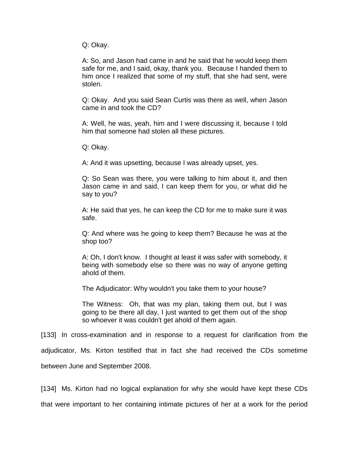Q: Okay.

A: So, and Jason had came in and he said that he would keep them safe for me, and I said, okay, thank you. Because I handed them to him once I realized that some of my stuff, that she had sent, were stolen.

Q: Okay. And you said Sean Curtis was there as well, when Jason came in and took the CD?

A: Well, he was, yeah, him and I were discussing it, because I told him that someone had stolen all these pictures.

Q: Okay.

A: And it was upsetting, because I was already upset, yes.

Q: So Sean was there, you were talking to him about it, and then Jason came in and said, I can keep them for you, or what did he say to you?

A: He said that yes, he can keep the CD for me to make sure it was safe.

Q: And where was he going to keep them? Because he was at the shop too?

A: Oh, I don't know. I thought at least it was safer with somebody, it being with somebody else so there was no way of anyone getting ahold of them.

The Adjudicator: Why wouldn't you take them to your house?

The Witness: Oh, that was my plan, taking them out, but I was going to be there all day, I just wanted to get them out of the shop so whoever it was couldn't get ahold of them again.

[133] In cross-examination and in response to a request for clarification from the

adjudicator, Ms. Kirton testified that in fact she had received the CDs sometime

between June and September 2008.

[134] Ms. Kirton had no logical explanation for why she would have kept these CDs that were important to her containing intimate pictures of her at a work for the period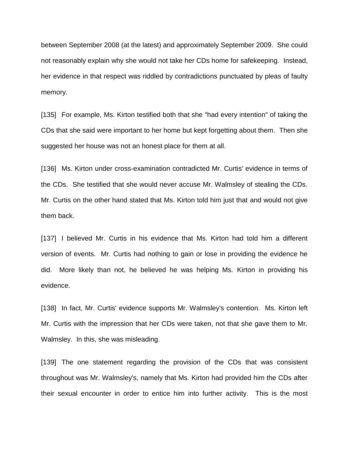between September 2008 (at the latest) and approximately September 2009. She could not reasonably explain why she would not take her CDs home for safekeeping. Instead, her evidence in that respect was riddled by contradictions punctuated by pleas of faulty memory.

[135] For example, Ms. Kirton testified both that she "had every intention" of taking the CDs that she said were important to her home but kept forgetting about them. Then she suggested her house was not an honest place for them at all.

[136] Ms. Kirton under cross-examination contradicted Mr. Curtis' evidence in terms of the CDs. She testified that she would never accuse Mr. Walmsley of stealing the CDs. Mr. Curtis on the other hand stated that Ms. Kirton told him just that and would not give them back.

[137] I believed Mr. Curtis in his evidence that Ms. Kirton had told him a different version of events. Mr. Curtis had nothing to gain or lose in providing the evidence he did. More likely than not, he believed he was helping Ms. Kirton in providing his evidence.

[138] In fact, Mr. Curtis' evidence supports Mr. Walmsley's contention. Ms. Kirton left Mr. Curtis with the impression that her CDs were taken, not that she gave them to Mr. Walmsley. In this, she was misleading.

[139] The one statement regarding the provision of the CDs that was consistent throughout was Mr. Walmsley's, namely that Ms. Kirton had provided him the CDs after their sexual encounter in order to entice him into further activity. This is the most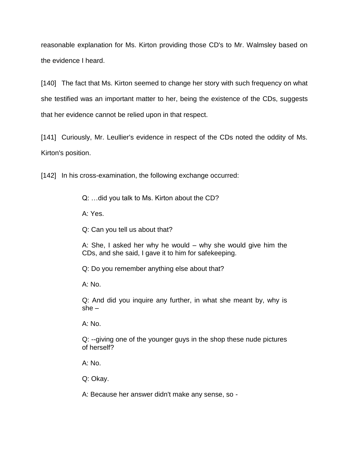reasonable explanation for Ms. Kirton providing those CD's to Mr. Walmsley based on the evidence I heard.

[140] The fact that Ms. Kirton seemed to change her story with such frequency on what she testified was an important matter to her, being the existence of the CDs, suggests that her evidence cannot be relied upon in that respect.

[141] Curiously, Mr. Leullier's evidence in respect of the CDs noted the oddity of Ms. Kirton's position.

[142] In his cross-examination, the following exchange occurred:

Q: …did you talk to Ms. Kirton about the CD?

A: Yes.

Q: Can you tell us about that?

A: She, I asked her why he would – why she would give him the CDs, and she said, I gave it to him for safekeeping.

Q: Do you remember anything else about that?

A: No.

Q: And did you inquire any further, in what she meant by, why is she –

A: No.

Q: --giving one of the younger guys in the shop these nude pictures of herself?

A: No.

Q: Okay.

A: Because her answer didn't make any sense, so -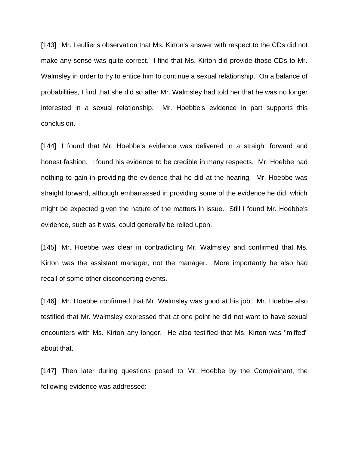[143] Mr. Leullier's observation that Ms. Kirton's answer with respect to the CDs did not make any sense was quite correct. I find that Ms. Kirton did provide those CDs to Mr. Walmsley in order to try to entice him to continue a sexual relationship. On a balance of probabilities, I find that she did so after Mr. Walmsley had told her that he was no longer interested in a sexual relationship. Mr. Hoebbe's evidence in part supports this conclusion.

[144] I found that Mr. Hoebbe's evidence was delivered in a straight forward and honest fashion. I found his evidence to be credible in many respects. Mr. Hoebbe had nothing to gain in providing the evidence that he did at the hearing. Mr. Hoebbe was straight forward, although embarrassed in providing some of the evidence he did, which might be expected given the nature of the matters in issue. Still I found Mr. Hoebbe's evidence, such as it was, could generally be relied upon.

[145] Mr. Hoebbe was clear in contradicting Mr. Walmsley and confirmed that Ms. Kirton was the assistant manager, not the manager. More importantly he also had recall of some other disconcerting events.

[146] Mr. Hoebbe confirmed that Mr. Walmsley was good at his job. Mr. Hoebbe also testified that Mr. Walmsley expressed that at one point he did not want to have sexual encounters with Ms. Kirton any longer. He also testified that Ms. Kirton was "miffed" about that.

[147] Then later during questions posed to Mr. Hoebbe by the Complainant, the following evidence was addressed: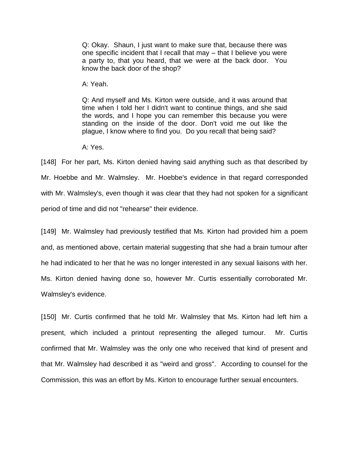Q: Okay. Shaun, I just want to make sure that, because there was one specific incident that I recall that may – that I believe you were a party to, that you heard, that we were at the back door. You know the back door of the shop?

A: Yeah.

Q: And myself and Ms. Kirton were outside, and it was around that time when I told her I didn't want to continue things, and she said the words, and I hope you can remember this because you were standing on the inside of the door. Don't void me out like the plague, I know where to find you. Do you recall that being said?

A: Yes.

[148] For her part, Ms. Kirton denied having said anything such as that described by Mr. Hoebbe and Mr. Walmsley. Mr. Hoebbe's evidence in that regard corresponded with Mr. Walmsley's, even though it was clear that they had not spoken for a significant period of time and did not "rehearse" their evidence.

[149] Mr. Walmsley had previously testified that Ms. Kirton had provided him a poem and, as mentioned above, certain material suggesting that she had a brain tumour after he had indicated to her that he was no longer interested in any sexual liaisons with her. Ms. Kirton denied having done so, however Mr. Curtis essentially corroborated Mr. Walmsley's evidence.

[150] Mr. Curtis confirmed that he told Mr. Walmsley that Ms. Kirton had left him a present, which included a printout representing the alleged tumour. Mr. Curtis confirmed that Mr. Walmsley was the only one who received that kind of present and that Mr. Walmsley had described it as "weird and gross". According to counsel for the Commission, this was an effort by Ms. Kirton to encourage further sexual encounters.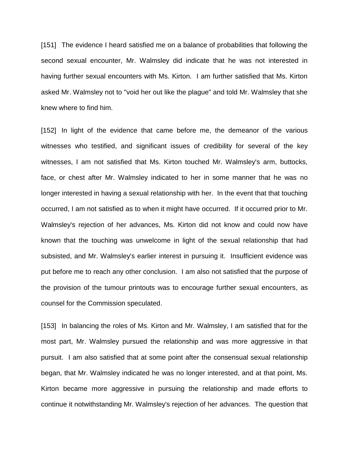[151] The evidence I heard satisfied me on a balance of probabilities that following the second sexual encounter, Mr. Walmsley did indicate that he was not interested in having further sexual encounters with Ms. Kirton. I am further satisfied that Ms. Kirton asked Mr. Walmsley not to "void her out like the plague" and told Mr. Walmsley that she knew where to find him.

[152] In light of the evidence that came before me, the demeanor of the various witnesses who testified, and significant issues of credibility for several of the key witnesses, I am not satisfied that Ms. Kirton touched Mr. Walmsley's arm, buttocks, face, or chest after Mr. Walmsley indicated to her in some manner that he was no longer interested in having a sexual relationship with her. In the event that that touching occurred, I am not satisfied as to when it might have occurred. If it occurred prior to Mr. Walmsley's rejection of her advances, Ms. Kirton did not know and could now have known that the touching was unwelcome in light of the sexual relationship that had subsisted, and Mr. Walmsley's earlier interest in pursuing it. Insufficient evidence was put before me to reach any other conclusion. I am also not satisfied that the purpose of the provision of the tumour printouts was to encourage further sexual encounters, as counsel for the Commission speculated.

[153] In balancing the roles of Ms. Kirton and Mr. Walmsley, I am satisfied that for the most part, Mr. Walmsley pursued the relationship and was more aggressive in that pursuit. I am also satisfied that at some point after the consensual sexual relationship began, that Mr. Walmsley indicated he was no longer interested, and at that point, Ms. Kirton became more aggressive in pursuing the relationship and made efforts to continue it notwithstanding Mr. Walmsley's rejection of her advances. The question that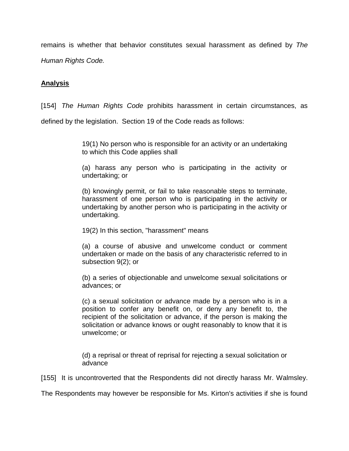remains is whether that behavior constitutes sexual harassment as defined by *The Human Rights Code.*

## **Analysis**

[154] *The Human Rights Code* prohibits harassment in certain circumstances, as

defined by the legislation. Section 19 of the Code reads as follows:

19(1) No person who is responsible for an activity or an undertaking to which this Code applies shall

(a) harass any person who is participating in the activity or undertaking; or

(b) knowingly permit, or fail to take reasonable steps to terminate, harassment of one person who is participating in the activity or undertaking by another person who is participating in the activity or undertaking.

19(2) In this section, "harassment" means

(a) a course of abusive and unwelcome conduct or comment undertaken or made on the basis of any characteristic referred to in subsection 9(2); or

(b) a series of objectionable and unwelcome sexual solicitations or advances; or

(c) a sexual solicitation or advance made by a person who is in a position to confer any benefit on, or deny any benefit to, the recipient of the solicitation or advance, if the person is making the solicitation or advance knows or ought reasonably to know that it is unwelcome; or

(d) a reprisal or threat of reprisal for rejecting a sexual solicitation or advance

[155] It is uncontroverted that the Respondents did not directly harass Mr. Walmsley.

The Respondents may however be responsible for Ms. Kirton's activities if she is found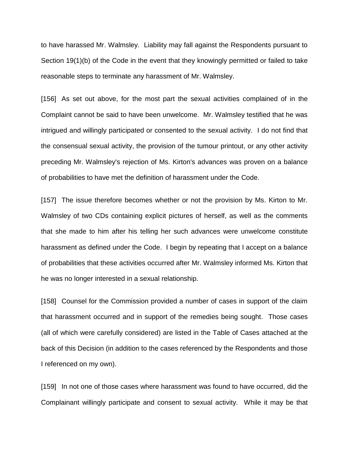to have harassed Mr. Walmsley. Liability may fall against the Respondents pursuant to Section 19(1)(b) of the Code in the event that they knowingly permitted or failed to take reasonable steps to terminate any harassment of Mr. Walmsley.

[156] As set out above, for the most part the sexual activities complained of in the Complaint cannot be said to have been unwelcome. Mr. Walmsley testified that he was intrigued and willingly participated or consented to the sexual activity. I do not find that the consensual sexual activity, the provision of the tumour printout, or any other activity preceding Mr. Walmsley's rejection of Ms. Kirton's advances was proven on a balance of probabilities to have met the definition of harassment under the Code.

[157] The issue therefore becomes whether or not the provision by Ms. Kirton to Mr. Walmsley of two CDs containing explicit pictures of herself, as well as the comments that she made to him after his telling her such advances were unwelcome constitute harassment as defined under the Code. I begin by repeating that I accept on a balance of probabilities that these activities occurred after Mr. Walmsley informed Ms. Kirton that he was no longer interested in a sexual relationship.

[158] Counsel for the Commission provided a number of cases in support of the claim that harassment occurred and in support of the remedies being sought. Those cases (all of which were carefully considered) are listed in the Table of Cases attached at the back of this Decision (in addition to the cases referenced by the Respondents and those I referenced on my own).

[159] In not one of those cases where harassment was found to have occurred, did the Complainant willingly participate and consent to sexual activity. While it may be that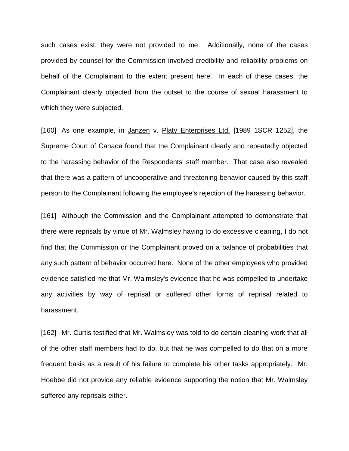such cases exist, they were not provided to me. Additionally, none of the cases provided by counsel for the Commission involved credibility and reliability problems on behalf of the Complainant to the extent present here. In each of these cases, the Complainant clearly objected from the outset to the course of sexual harassment to which they were subjected.

[160] As one example, in Janzen v. Platy Enterprises Ltd. [1989 1SCR 1252], the Supreme Court of Canada found that the Complainant clearly and repeatedly objected to the harassing behavior of the Respondents' staff member. That case also revealed that there was a pattern of uncooperative and threatening behavior caused by this staff person to the Complainant following the employee's rejection of the harassing behavior.

[161] Although the Commission and the Complainant attempted to demonstrate that there were reprisals by virtue of Mr. Walmsley having to do excessive cleaning, I do not find that the Commission or the Complainant proved on a balance of probabilities that any such pattern of behavior occurred here. None of the other employees who provided evidence satisfied me that Mr. Walmsley's evidence that he was compelled to undertake any activities by way of reprisal or suffered other forms of reprisal related to harassment.

[162] Mr. Curtis testified that Mr. Walmsley was told to do certain cleaning work that all of the other staff members had to do, but that he was compelled to do that on a more frequent basis as a result of his failure to complete his other tasks appropriately. Mr. Hoebbe did not provide any reliable evidence supporting the notion that Mr. Walmsley suffered any reprisals either.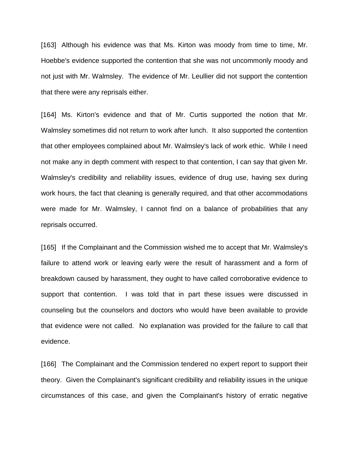[163] Although his evidence was that Ms. Kirton was moody from time to time, Mr. Hoebbe's evidence supported the contention that she was not uncommonly moody and not just with Mr. Walmsley. The evidence of Mr. Leullier did not support the contention that there were any reprisals either.

[164] Ms. Kirton's evidence and that of Mr. Curtis supported the notion that Mr. Walmsley sometimes did not return to work after lunch. It also supported the contention that other employees complained about Mr. Walmsley's lack of work ethic. While I need not make any in depth comment with respect to that contention, I can say that given Mr. Walmsley's credibility and reliability issues, evidence of drug use, having sex during work hours, the fact that cleaning is generally required, and that other accommodations were made for Mr. Walmsley, I cannot find on a balance of probabilities that any reprisals occurred.

[165] If the Complainant and the Commission wished me to accept that Mr. Walmsley's failure to attend work or leaving early were the result of harassment and a form of breakdown caused by harassment, they ought to have called corroborative evidence to support that contention. I was told that in part these issues were discussed in counseling but the counselors and doctors who would have been available to provide that evidence were not called. No explanation was provided for the failure to call that evidence.

[166] The Complainant and the Commission tendered no expert report to support their theory. Given the Complainant's significant credibility and reliability issues in the unique circumstances of this case, and given the Complainant's history of erratic negative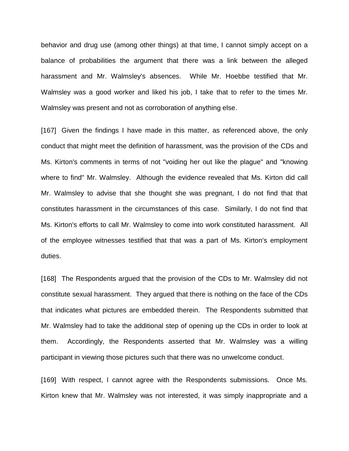behavior and drug use (among other things) at that time, I cannot simply accept on a balance of probabilities the argument that there was a link between the alleged harassment and Mr. Walmsley's absences. While Mr. Hoebbe testified that Mr. Walmsley was a good worker and liked his job, I take that to refer to the times Mr. Walmsley was present and not as corroboration of anything else.

[167] Given the findings I have made in this matter, as referenced above, the only conduct that might meet the definition of harassment, was the provision of the CDs and Ms. Kirton's comments in terms of not "voiding her out like the plague" and "knowing where to find" Mr. Walmsley. Although the evidence revealed that Ms. Kirton did call Mr. Walmsley to advise that she thought she was pregnant, I do not find that that constitutes harassment in the circumstances of this case. Similarly, I do not find that Ms. Kirton's efforts to call Mr. Walmsley to come into work constituted harassment. All of the employee witnesses testified that that was a part of Ms. Kirton's employment duties.

[168] The Respondents argued that the provision of the CDs to Mr. Walmsley did not constitute sexual harassment. They argued that there is nothing on the face of the CDs that indicates what pictures are embedded therein. The Respondents submitted that Mr. Walmsley had to take the additional step of opening up the CDs in order to look at them. Accordingly, the Respondents asserted that Mr. Walmsley was a willing participant in viewing those pictures such that there was no unwelcome conduct.

[169] With respect, I cannot agree with the Respondents submissions. Once Ms. Kirton knew that Mr. Walmsley was not interested, it was simply inappropriate and a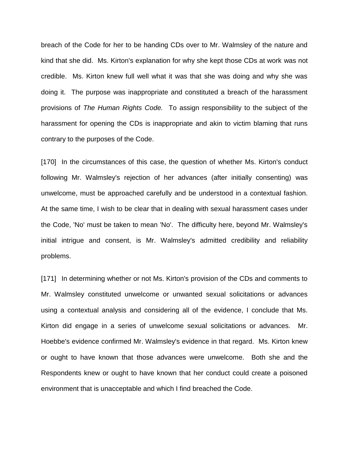breach of the Code for her to be handing CDs over to Mr. Walmsley of the nature and kind that she did. Ms. Kirton's explanation for why she kept those CDs at work was not credible. Ms. Kirton knew full well what it was that she was doing and why she was doing it. The purpose was inappropriate and constituted a breach of the harassment provisions of *The Human Rights Code.* To assign responsibility to the subject of the harassment for opening the CDs is inappropriate and akin to victim blaming that runs contrary to the purposes of the Code.

[170] In the circumstances of this case, the question of whether Ms. Kirton's conduct following Mr. Walmsley's rejection of her advances (after initially consenting) was unwelcome, must be approached carefully and be understood in a contextual fashion. At the same time, I wish to be clear that in dealing with sexual harassment cases under the Code, 'No' must be taken to mean 'No'. The difficulty here, beyond Mr. Walmsley's initial intrigue and consent, is Mr. Walmsley's admitted credibility and reliability problems.

[171] In determining whether or not Ms. Kirton's provision of the CDs and comments to Mr. Walmsley constituted unwelcome or unwanted sexual solicitations or advances using a contextual analysis and considering all of the evidence, I conclude that Ms. Kirton did engage in a series of unwelcome sexual solicitations or advances. Mr. Hoebbe's evidence confirmed Mr. Walmsley's evidence in that regard. Ms. Kirton knew or ought to have known that those advances were unwelcome. Both she and the Respondents knew or ought to have known that her conduct could create a poisoned environment that is unacceptable and which I find breached the Code.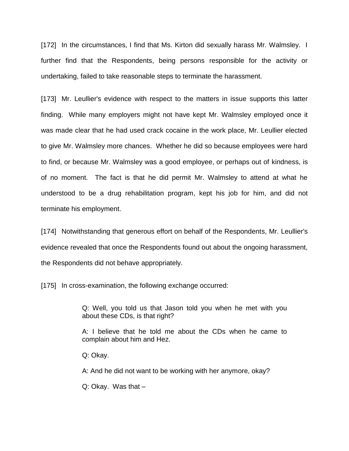[172] In the circumstances, I find that Ms. Kirton did sexually harass Mr. Walmsley. I further find that the Respondents, being persons responsible for the activity or undertaking, failed to take reasonable steps to terminate the harassment.

[173] Mr. Leullier's evidence with respect to the matters in issue supports this latter finding. While many employers might not have kept Mr. Walmsley employed once it was made clear that he had used crack cocaine in the work place, Mr. Leullier elected to give Mr. Walmsley more chances. Whether he did so because employees were hard to find, or because Mr. Walmsley was a good employee, or perhaps out of kindness, is of no moment. The fact is that he did permit Mr. Walmsley to attend at what he understood to be a drug rehabilitation program, kept his job for him, and did not terminate his employment.

[174] Notwithstanding that generous effort on behalf of the Respondents, Mr. Leullier's evidence revealed that once the Respondents found out about the ongoing harassment, the Respondents did not behave appropriately.

[175] In cross-examination, the following exchange occurred:

Q: Well, you told us that Jason told you when he met with you about these CDs, is that right?

A: I believe that he told me about the CDs when he came to complain about him and Hez.

Q: Okay.

A: And he did not want to be working with her anymore, okay?

Q: Okay. Was that –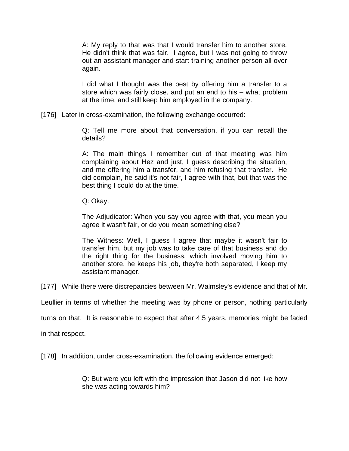A: My reply to that was that I would transfer him to another store. He didn't think that was fair. I agree, but I was not going to throw out an assistant manager and start training another person all over again.

I did what I thought was the best by offering him a transfer to a store which was fairly close, and put an end to his – what problem at the time, and still keep him employed in the company.

[176] Later in cross-examination, the following exchange occurred:

Q: Tell me more about that conversation, if you can recall the details?

A: The main things I remember out of that meeting was him complaining about Hez and just, I guess describing the situation, and me offering him a transfer, and him refusing that transfer. He did complain, he said it's not fair, I agree with that, but that was the best thing I could do at the time.

Q: Okay.

The Adjudicator: When you say you agree with that, you mean you agree it wasn't fair, or do you mean something else?

The Witness: Well, I guess I agree that maybe it wasn't fair to transfer him, but my job was to take care of that business and do the right thing for the business, which involved moving him to another store, he keeps his job, they're both separated, I keep my assistant manager.

[177] While there were discrepancies between Mr. Walmsley's evidence and that of Mr.

Leullier in terms of whether the meeting was by phone or person, nothing particularly

turns on that. It is reasonable to expect that after 4.5 years, memories might be faded

in that respect.

[178] In addition, under cross-examination, the following evidence emerged:

Q: But were you left with the impression that Jason did not like how she was acting towards him?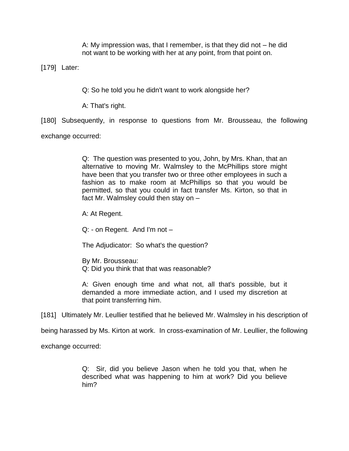A: My impression was, that I remember, is that they did not – he did not want to be working with her at any point, from that point on.

[179] Later:

Q: So he told you he didn't want to work alongside her?

A: That's right.

[180] Subsequently, in response to questions from Mr. Brousseau, the following

exchange occurred:

Q: The question was presented to you, John, by Mrs. Khan, that an alternative to moving Mr. Walmsley to the McPhillips store might have been that you transfer two or three other employees in such a fashion as to make room at McPhillips so that you would be permitted, so that you could in fact transfer Ms. Kirton, so that in fact Mr. Walmsley could then stay on –

A: At Regent.

Q: - on Regent. And I'm not –

The Adjudicator: So what's the question?

By Mr. Brousseau: Q: Did you think that that was reasonable?

A: Given enough time and what not, all that's possible, but it demanded a more immediate action, and I used my discretion at that point transferring him.

[181] Ultimately Mr. Leullier testified that he believed Mr. Walmsley in his description of

being harassed by Ms. Kirton at work. In cross-examination of Mr. Leullier, the following

exchange occurred:

Q: Sir, did you believe Jason when he told you that, when he described what was happening to him at work? Did you believe him?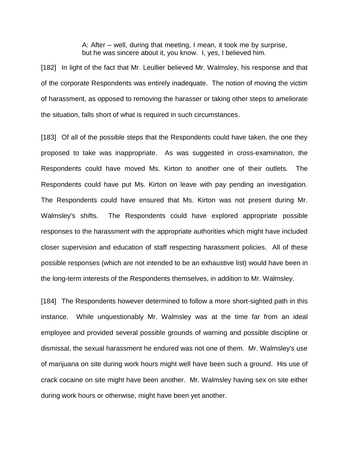A: After – well, during that meeting, I mean, it took me by surprise, but he was sincere about it, you know. I, yes, I believed him.

[182] In light of the fact that Mr. Leullier believed Mr. Walmsley, his response and that of the corporate Respondents was entirely inadequate. The notion of moving the victim of harassment, as opposed to removing the harasser or taking other steps to ameliorate the situation, falls short of what is required in such circumstances.

[183] Of all of the possible steps that the Respondents could have taken, the one they proposed to take was inappropriate. As was suggested in cross-examination, the Respondents could have moved Ms. Kirton to another one of their outlets. The Respondents could have put Ms. Kirton on leave with pay pending an investigation. The Respondents could have ensured that Ms. Kirton was not present during Mr. Walmsley's shifts. The Respondents could have explored appropriate possible responses to the harassment with the appropriate authorities which might have included closer supervision and education of staff respecting harassment policies. All of these possible responses (which are not intended to be an exhaustive list) would have been in the long-term interests of the Respondents themselves, in addition to Mr. Walmsley.

[184] The Respondents however determined to follow a more short-sighted path in this instance. While unquestionably Mr. Walmsley was at the time far from an ideal employee and provided several possible grounds of warning and possible discipline or dismissal, the sexual harassment he endured was not one of them. Mr. Walmsley's use of marijuana on site during work hours might well have been such a ground. His use of crack cocaine on site might have been another. Mr. Walmsley having sex on site either during work hours or otherwise, might have been yet another.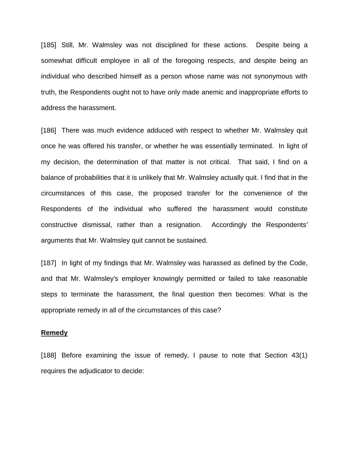[185] Still, Mr. Walmsley was not disciplined for these actions. Despite being a somewhat difficult employee in all of the foregoing respects, and despite being an individual who described himself as a person whose name was not synonymous with truth, the Respondents ought not to have only made anemic and inappropriate efforts to address the harassment.

[186] There was much evidence adduced with respect to whether Mr. Walmsley quit once he was offered his transfer, or whether he was essentially terminated. In light of my decision, the determination of that matter is not critical. That said, I find on a balance of probabilities that it is unlikely that Mr. Walmsley actually quit. I find that in the circumstances of this case, the proposed transfer for the convenience of the Respondents of the individual who suffered the harassment would constitute constructive dismissal, rather than a resignation. Accordingly the Respondents' arguments that Mr. Walmsley quit cannot be sustained.

[187] In light of my findings that Mr. Walmsley was harassed as defined by the Code, and that Mr. Walmsley's employer knowingly permitted or failed to take reasonable steps to terminate the harassment, the final question then becomes: What is the appropriate remedy in all of the circumstances of this case?

#### **Remedy**

[188] Before examining the issue of remedy, I pause to note that Section 43(1) requires the adjudicator to decide: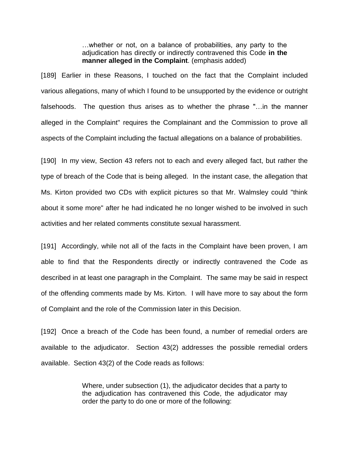…whether or not, on a balance of probabilities, any party to the adjudication has directly or indirectly contravened this Code **in the manner alleged in the Complaint**. (emphasis added)

[189] Earlier in these Reasons, I touched on the fact that the Complaint included various allegations, many of which I found to be unsupported by the evidence or outright falsehoods. The question thus arises as to whether the phrase "…in the manner alleged in the Complaint" requires the Complainant and the Commission to prove all aspects of the Complaint including the factual allegations on a balance of probabilities.

[190] In my view, Section 43 refers not to each and every alleged fact, but rather the type of breach of the Code that is being alleged. In the instant case, the allegation that Ms. Kirton provided two CDs with explicit pictures so that Mr. Walmsley could "think about it some more" after he had indicated he no longer wished to be involved in such activities and her related comments constitute sexual harassment.

[191] Accordingly, while not all of the facts in the Complaint have been proven, I am able to find that the Respondents directly or indirectly contravened the Code as described in at least one paragraph in the Complaint. The same may be said in respect of the offending comments made by Ms. Kirton. I will have more to say about the form of Complaint and the role of the Commission later in this Decision.

[192] Once a breach of the Code has been found, a number of remedial orders are available to the adjudicator. Section 43(2) addresses the possible remedial orders available. Section 43(2) of the Code reads as follows:

> Where, under subsection (1), the adjudicator decides that a party to the adjudication has contravened this Code, the adjudicator may order the party to do one or more of the following: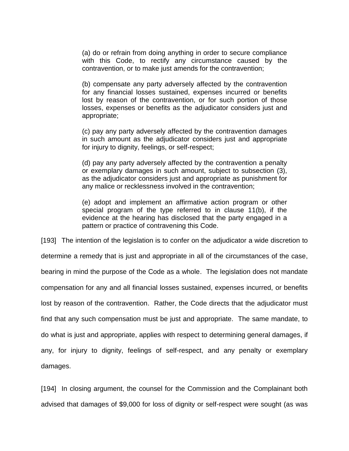(a) do or refrain from doing anything in order to secure compliance with this Code, to rectify any circumstance caused by the contravention, or to make just amends for the contravention;

(b) compensate any party adversely affected by the contravention for any financial losses sustained, expenses incurred or benefits lost by reason of the contravention, or for such portion of those losses, expenses or benefits as the adjudicator considers just and appropriate;

(c) pay any party adversely affected by the contravention damages in such amount as the adjudicator considers just and appropriate for injury to dignity, feelings, or self-respect;

(d) pay any party adversely affected by the contravention a penalty or exemplary damages in such amount, subject to subsection (3), as the adjudicator considers just and appropriate as punishment for any malice or recklessness involved in the contravention;

(e) adopt and implement an affirmative action program or other special program of the type referred to in clause 11(b), if the evidence at the hearing has disclosed that the party engaged in a pattern or practice of contravening this Code.

[193] The intention of the legislation is to confer on the adjudicator a wide discretion to determine a remedy that is just and appropriate in all of the circumstances of the case, bearing in mind the purpose of the Code as a whole. The legislation does not mandate compensation for any and all financial losses sustained, expenses incurred, or benefits lost by reason of the contravention. Rather, the Code directs that the adjudicator must find that any such compensation must be just and appropriate. The same mandate, to do what is just and appropriate, applies with respect to determining general damages, if any, for injury to dignity, feelings of self-respect, and any penalty or exemplary damages.

[194] In closing argument, the counsel for the Commission and the Complainant both advised that damages of \$9,000 for loss of dignity or self-respect were sought (as was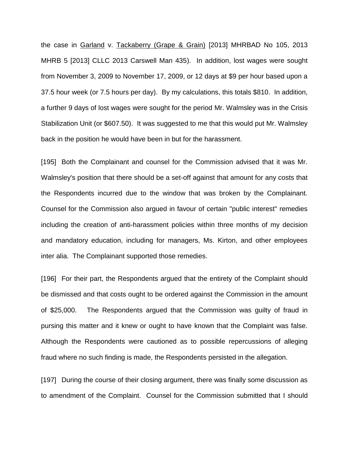the case in Garland v. Tackaberry (Grape & Grain) [2013] MHRBAD No 105, 2013 MHRB 5 [2013] CLLC 2013 Carswell Man 435). In addition, lost wages were sought from November 3, 2009 to November 17, 2009, or 12 days at \$9 per hour based upon a 37.5 hour week (or 7.5 hours per day). By my calculations, this totals \$810. In addition, a further 9 days of lost wages were sought for the period Mr. Walmsley was in the Crisis Stabilization Unit (or \$607.50). It was suggested to me that this would put Mr. Walmsley back in the position he would have been in but for the harassment.

[195] Both the Complainant and counsel for the Commission advised that it was Mr. Walmsley's position that there should be a set-off against that amount for any costs that the Respondents incurred due to the window that was broken by the Complainant. Counsel for the Commission also argued in favour of certain "public interest" remedies including the creation of anti-harassment policies within three months of my decision and mandatory education, including for managers, Ms. Kirton, and other employees inter alia. The Complainant supported those remedies.

[196] For their part, the Respondents argued that the entirety of the Complaint should be dismissed and that costs ought to be ordered against the Commission in the amount of \$25,000. The Respondents argued that the Commission was guilty of fraud in pursing this matter and it knew or ought to have known that the Complaint was false. Although the Respondents were cautioned as to possible repercussions of alleging fraud where no such finding is made, the Respondents persisted in the allegation.

[197] During the course of their closing argument, there was finally some discussion as to amendment of the Complaint. Counsel for the Commission submitted that I should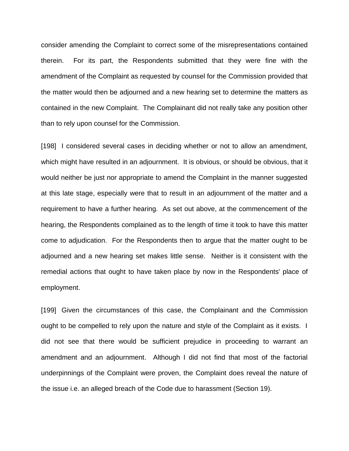consider amending the Complaint to correct some of the misrepresentations contained therein. For its part, the Respondents submitted that they were fine with the amendment of the Complaint as requested by counsel for the Commission provided that the matter would then be adjourned and a new hearing set to determine the matters as contained in the new Complaint. The Complainant did not really take any position other than to rely upon counsel for the Commission.

[198] I considered several cases in deciding whether or not to allow an amendment, which might have resulted in an adjournment. It is obvious, or should be obvious, that it would neither be just nor appropriate to amend the Complaint in the manner suggested at this late stage, especially were that to result in an adjournment of the matter and a requirement to have a further hearing. As set out above, at the commencement of the hearing, the Respondents complained as to the length of time it took to have this matter come to adjudication. For the Respondents then to argue that the matter ought to be adjourned and a new hearing set makes little sense. Neither is it consistent with the remedial actions that ought to have taken place by now in the Respondents' place of employment.

[199] Given the circumstances of this case, the Complainant and the Commission ought to be compelled to rely upon the nature and style of the Complaint as it exists. I did not see that there would be sufficient prejudice in proceeding to warrant an amendment and an adjournment. Although I did not find that most of the factorial underpinnings of the Complaint were proven, the Complaint does reveal the nature of the issue i.e. an alleged breach of the Code due to harassment (Section 19).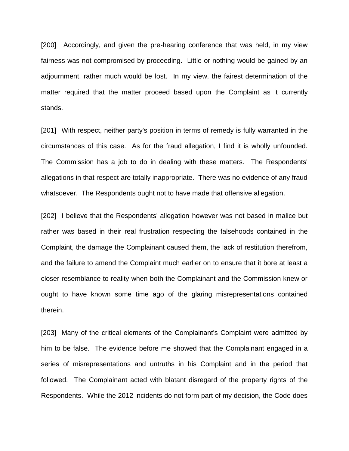[200] Accordingly, and given the pre-hearing conference that was held, in my view fairness was not compromised by proceeding. Little or nothing would be gained by an adjournment, rather much would be lost. In my view, the fairest determination of the matter required that the matter proceed based upon the Complaint as it currently stands.

[201] With respect, neither party's position in terms of remedy is fully warranted in the circumstances of this case. As for the fraud allegation, I find it is wholly unfounded. The Commission has a job to do in dealing with these matters. The Respondents' allegations in that respect are totally inappropriate. There was no evidence of any fraud whatsoever. The Respondents ought not to have made that offensive allegation.

[202] I believe that the Respondents' allegation however was not based in malice but rather was based in their real frustration respecting the falsehoods contained in the Complaint, the damage the Complainant caused them, the lack of restitution therefrom, and the failure to amend the Complaint much earlier on to ensure that it bore at least a closer resemblance to reality when both the Complainant and the Commission knew or ought to have known some time ago of the glaring misrepresentations contained therein.

[203] Many of the critical elements of the Complainant's Complaint were admitted by him to be false. The evidence before me showed that the Complainant engaged in a series of misrepresentations and untruths in his Complaint and in the period that followed. The Complainant acted with blatant disregard of the property rights of the Respondents. While the 2012 incidents do not form part of my decision, the Code does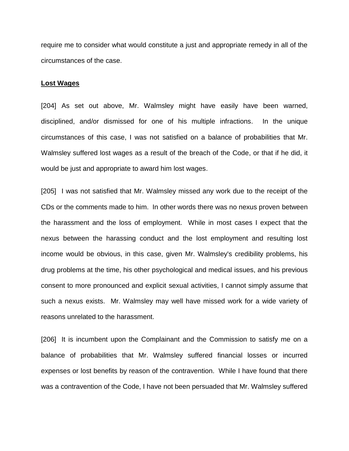require me to consider what would constitute a just and appropriate remedy in all of the circumstances of the case.

#### **Lost Wages**

[204] As set out above, Mr. Walmsley might have easily have been warned, disciplined, and/or dismissed for one of his multiple infractions. In the unique circumstances of this case, I was not satisfied on a balance of probabilities that Mr. Walmsley suffered lost wages as a result of the breach of the Code, or that if he did, it would be just and appropriate to award him lost wages.

[205] I was not satisfied that Mr. Walmsley missed any work due to the receipt of the CDs or the comments made to him. In other words there was no nexus proven between the harassment and the loss of employment. While in most cases I expect that the nexus between the harassing conduct and the lost employment and resulting lost income would be obvious, in this case, given Mr. Walmsley's credibility problems, his drug problems at the time, his other psychological and medical issues, and his previous consent to more pronounced and explicit sexual activities, I cannot simply assume that such a nexus exists. Mr. Walmsley may well have missed work for a wide variety of reasons unrelated to the harassment.

[206] It is incumbent upon the Complainant and the Commission to satisfy me on a balance of probabilities that Mr. Walmsley suffered financial losses or incurred expenses or lost benefits by reason of the contravention. While I have found that there was a contravention of the Code, I have not been persuaded that Mr. Walmsley suffered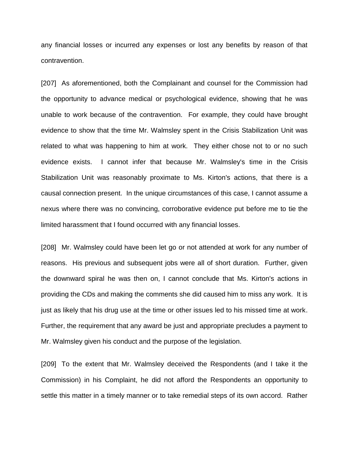any financial losses or incurred any expenses or lost any benefits by reason of that contravention.

[207] As aforementioned, both the Complainant and counsel for the Commission had the opportunity to advance medical or psychological evidence, showing that he was unable to work because of the contravention. For example, they could have brought evidence to show that the time Mr. Walmsley spent in the Crisis Stabilization Unit was related to what was happening to him at work. They either chose not to or no such evidence exists. I cannot infer that because Mr. Walmsley's time in the Crisis Stabilization Unit was reasonably proximate to Ms. Kirton's actions, that there is a causal connection present. In the unique circumstances of this case, I cannot assume a nexus where there was no convincing, corroborative evidence put before me to tie the limited harassment that I found occurred with any financial losses.

[208] Mr. Walmsley could have been let go or not attended at work for any number of reasons. His previous and subsequent jobs were all of short duration. Further, given the downward spiral he was then on, I cannot conclude that Ms. Kirton's actions in providing the CDs and making the comments she did caused him to miss any work. It is just as likely that his drug use at the time or other issues led to his missed time at work. Further, the requirement that any award be just and appropriate precludes a payment to Mr. Walmsley given his conduct and the purpose of the legislation.

[209] To the extent that Mr. Walmsley deceived the Respondents (and I take it the Commission) in his Complaint, he did not afford the Respondents an opportunity to settle this matter in a timely manner or to take remedial steps of its own accord. Rather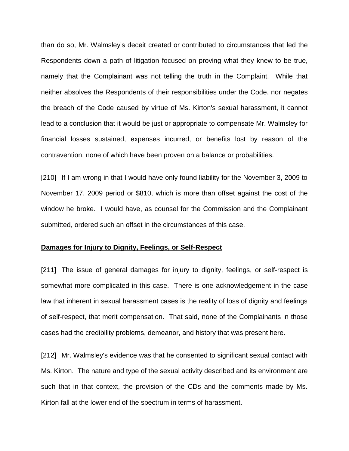than do so, Mr. Walmsley's deceit created or contributed to circumstances that led the Respondents down a path of litigation focused on proving what they knew to be true, namely that the Complainant was not telling the truth in the Complaint. While that neither absolves the Respondents of their responsibilities under the Code, nor negates the breach of the Code caused by virtue of Ms. Kirton's sexual harassment, it cannot lead to a conclusion that it would be just or appropriate to compensate Mr. Walmsley for financial losses sustained, expenses incurred, or benefits lost by reason of the contravention, none of which have been proven on a balance or probabilities.

[210] If I am wrong in that I would have only found liability for the November 3, 2009 to November 17, 2009 period or \$810, which is more than offset against the cost of the window he broke. I would have, as counsel for the Commission and the Complainant submitted, ordered such an offset in the circumstances of this case.

### **Damages for Injury to Dignity, Feelings, or Self-Respect**

[211] The issue of general damages for injury to dignity, feelings, or self-respect is somewhat more complicated in this case. There is one acknowledgement in the case law that inherent in sexual harassment cases is the reality of loss of dignity and feelings of self-respect, that merit compensation. That said, none of the Complainants in those cases had the credibility problems, demeanor, and history that was present here.

[212] Mr. Walmsley's evidence was that he consented to significant sexual contact with Ms. Kirton. The nature and type of the sexual activity described and its environment are such that in that context, the provision of the CDs and the comments made by Ms. Kirton fall at the lower end of the spectrum in terms of harassment.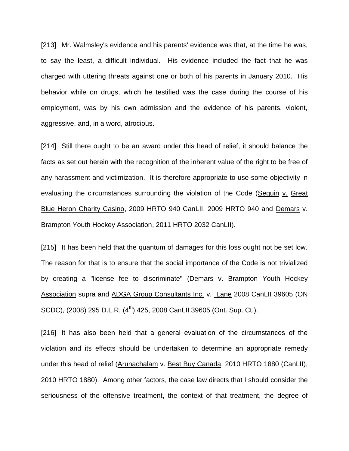[213] Mr. Walmsley's evidence and his parents' evidence was that, at the time he was, to say the least, a difficult individual. His evidence included the fact that he was charged with uttering threats against one or both of his parents in January 2010. His behavior while on drugs, which he testified was the case during the course of his employment, was by his own admission and the evidence of his parents, violent, aggressive, and, in a word, atrocious.

[214] Still there ought to be an award under this head of relief, it should balance the facts as set out herein with the recognition of the inherent value of the right to be free of any harassment and victimization. It is therefore appropriate to use some objectivity in evaluating the circumstances surrounding the violation of the Code (Seguin v. Great Blue Heron Charity Casino, 2009 HRTO 940 CanLII, 2009 HRTO 940 and Demars v. Brampton Youth Hockey Association, 2011 HRTO 2032 CanLII).

[215] It has been held that the quantum of damages for this loss ought not be set low. The reason for that is to ensure that the social importance of the Code is not trivialized by creating a "license fee to discriminate" (Demars v. Brampton Youth Hockey Association supra and ADGA Group Consultants Inc. v. Lane 2008 CanLII 39605 (ON SCDC), (2008) 295 D.L.R. (4<sup>th</sup>) 425, 2008 CanLII 39605 (Ont. Sup. Ct.).

[216] It has also been held that a general evaluation of the circumstances of the violation and its effects should be undertaken to determine an appropriate remedy under this head of relief (Arunachalam v. Best Buy Canada, 2010 HRTO 1880 (CanLII), 2010 HRTO 1880). Among other factors, the case law directs that I should consider the seriousness of the offensive treatment, the context of that treatment, the degree of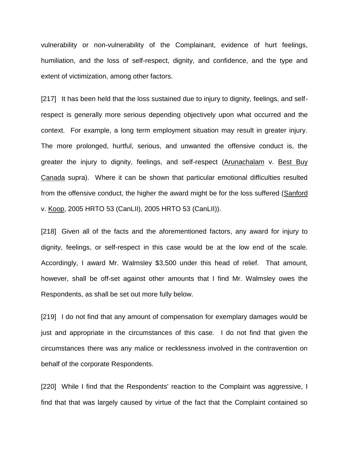vulnerability or non-vulnerability of the Complainant, evidence of hurt feelings, humiliation, and the loss of self-respect, dignity, and confidence, and the type and extent of victimization, among other factors.

[217] It has been held that the loss sustained due to injury to dignity, feelings, and selfrespect is generally more serious depending objectively upon what occurred and the context. For example, a long term employment situation may result in greater injury. The more prolonged, hurtful, serious, and unwanted the offensive conduct is, the greater the injury to dignity, feelings, and self-respect (Arunachalam v. Best Buy Canada supra). Where it can be shown that particular emotional difficulties resulted from the offensive conduct, the higher the award might be for the loss suffered (Sanford v. Koop, 2005 HRTO 53 (CanLII), 2005 HRTO 53 (CanLII)).

[218] Given all of the facts and the aforementioned factors, any award for injury to dignity, feelings, or self-respect in this case would be at the low end of the scale. Accordingly, I award Mr. Walmsley \$3,500 under this head of relief. That amount, however, shall be off-set against other amounts that I find Mr. Walmsley owes the Respondents, as shall be set out more fully below.

[219] I do not find that any amount of compensation for exemplary damages would be just and appropriate in the circumstances of this case. I do not find that given the circumstances there was any malice or recklessness involved in the contravention on behalf of the corporate Respondents.

[220] While I find that the Respondents' reaction to the Complaint was aggressive, I find that that was largely caused by virtue of the fact that the Complaint contained so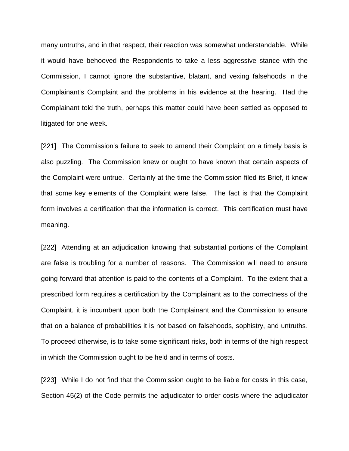many untruths, and in that respect, their reaction was somewhat understandable. While it would have behooved the Respondents to take a less aggressive stance with the Commission, I cannot ignore the substantive, blatant, and vexing falsehoods in the Complainant's Complaint and the problems in his evidence at the hearing. Had the Complainant told the truth, perhaps this matter could have been settled as opposed to litigated for one week.

[221] The Commission's failure to seek to amend their Complaint on a timely basis is also puzzling. The Commission knew or ought to have known that certain aspects of the Complaint were untrue. Certainly at the time the Commission filed its Brief, it knew that some key elements of the Complaint were false. The fact is that the Complaint form involves a certification that the information is correct. This certification must have meaning.

[222] Attending at an adjudication knowing that substantial portions of the Complaint are false is troubling for a number of reasons. The Commission will need to ensure going forward that attention is paid to the contents of a Complaint. To the extent that a prescribed form requires a certification by the Complainant as to the correctness of the Complaint, it is incumbent upon both the Complainant and the Commission to ensure that on a balance of probabilities it is not based on falsehoods, sophistry, and untruths. To proceed otherwise, is to take some significant risks, both in terms of the high respect in which the Commission ought to be held and in terms of costs.

[223] While I do not find that the Commission ought to be liable for costs in this case, Section 45(2) of the Code permits the adjudicator to order costs where the adjudicator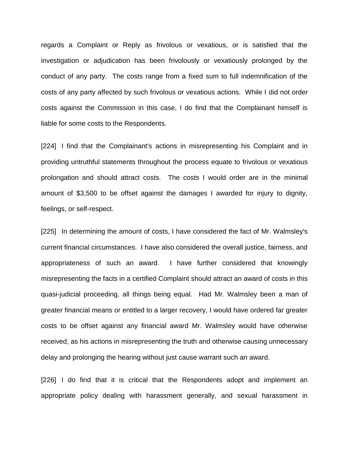regards a Complaint or Reply as frivolous or vexatious, or is satisfied that the investigation or adjudication has been frivolously or vexatiously prolonged by the conduct of any party. The costs range from a fixed sum to full indemnification of the costs of any party affected by such frivolous or vexatious actions. While I did not order costs against the Commission in this case, I do find that the Complainant himself is liable for some costs to the Respondents.

[224] I find that the Complainant's actions in misrepresenting his Complaint and in providing untruthful statements throughout the process equate to frivolous or vexatious prolongation and should attract costs. The costs I would order are in the minimal amount of \$3,500 to be offset against the damages I awarded for injury to dignity, feelings, or self-respect.

[225] In determining the amount of costs, I have considered the fact of Mr. Walmsley's current financial circumstances. I have also considered the overall justice, fairness, and appropriateness of such an award. I have further considered that knowingly misrepresenting the facts in a certified Complaint should attract an award of costs in this quasi-judicial proceeding, all things being equal. Had Mr. Walmsley been a man of greater financial means or entitled to a larger recovery, I would have ordered far greater costs to be offset against any financial award Mr. Walmsley would have otherwise received, as his actions in misrepresenting the truth and otherwise causing unnecessary delay and prolonging the hearing without just cause warrant such an award.

[226] I do find that it is critical that the Respondents adopt and implement an appropriate policy dealing with harassment generally, and sexual harassment in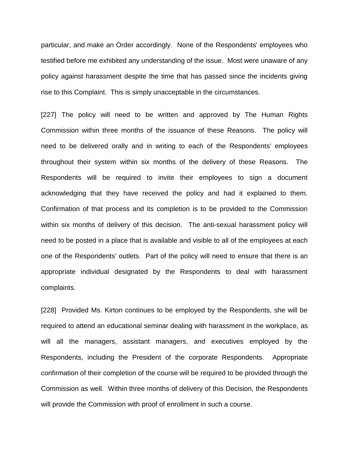particular, and make an Order accordingly. None of the Respondents' employees who testified before me exhibited any understanding of the issue. Most were unaware of any policy against harassment despite the time that has passed since the incidents giving rise to this Complaint. This is simply unacceptable in the circumstances.

[227] The policy will need to be written and approved by The Human Rights Commission within three months of the issuance of these Reasons. The policy will need to be delivered orally and in writing to each of the Respondents' employees throughout their system within six months of the delivery of these Reasons. The Respondents will be required to invite their employees to sign a document acknowledging that they have received the policy and had it explained to them. Confirmation of that process and its completion is to be provided to the Commission within six months of delivery of this decision. The anti-sexual harassment policy will need to be posted in a place that is available and visible to all of the employees at each one of the Respondents' outlets. Part of the policy will need to ensure that there is an appropriate individual designated by the Respondents to deal with harassment complaints.

[228] Provided Ms. Kirton continues to be employed by the Respondents, she will be required to attend an educational seminar dealing with harassment in the workplace, as will all the managers, assistant managers, and executives employed by the Respondents, including the President of the corporate Respondents. Appropriate confirmation of their completion of the course will be required to be provided through the Commission as well. Within three months of delivery of this Decision, the Respondents will provide the Commission with proof of enrollment in such a course.